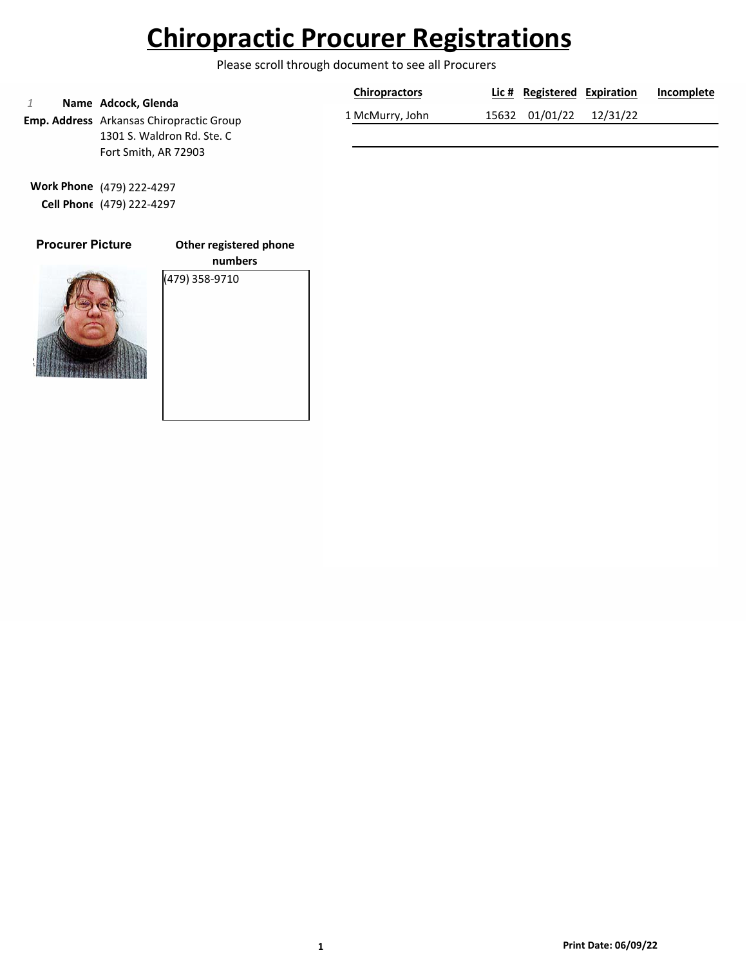Please scroll through document to see all Procurers

|                                                 | <b>Chiropractors</b> | Lic # Registered Expiration | Incomplete |
|-------------------------------------------------|----------------------|-----------------------------|------------|
| Name Adcock, Glenda                             |                      |                             |            |
| <b>Emp. Address</b> Arkansas Chiropractic Group | 1 McMurry, John      | 15632 01/01/22 12/31/22     |            |
| 1301 S. Waldron Rd. Ste. C                      |                      |                             |            |

**Work Phone** (479) 222-4297 **Cell Phone** (479) 222-4297

Fort Smith, AR 72903

### **Procurer Picture**

**Other registered phone**



**numbers** (479) 358-9710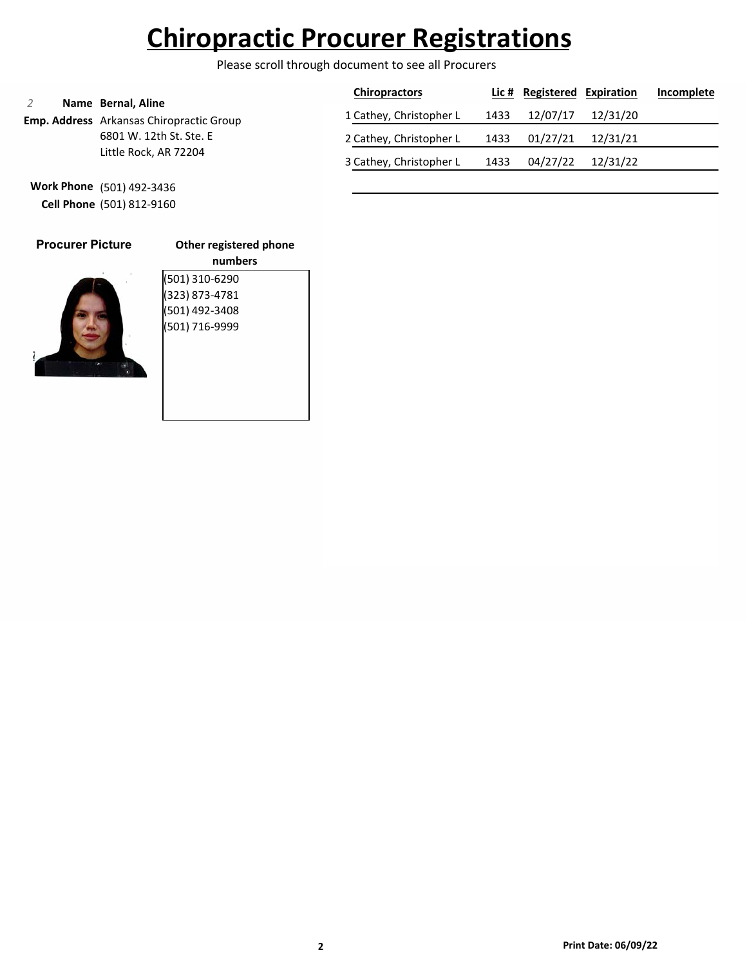Please scroll through document to see all Procurers

| Name Bernal, Aline                              | <b>Chiropractors</b>    |      | Lic # Registered Expiration |          | Incomplete |
|-------------------------------------------------|-------------------------|------|-----------------------------|----------|------------|
| <b>Emp. Address</b> Arkansas Chiropractic Group | 1 Cathey, Christopher L | 1433 | 12/07/17                    | 12/31/20 |            |
| 6801 W. 12th St. Ste. E                         | 2 Cathey, Christopher L | 1433 | 01/27/21                    | 12/31/21 |            |
| Little Rock, AR 72204                           | 3 Cathey, Christopher L | 1433 | 04/27/22                    | 12/31/22 |            |

**Work Phone** (501) 492-3436 **Cell Phone** (501) 812-9160

| <b>Procurer Picture</b> | Other r                                          |
|-------------------------|--------------------------------------------------|
|                         | (501) 310<br>(323) 873<br>(501) 492<br>(501) 716 |
|                         |                                                  |

| Other registered phone |
|------------------------|
| numbers                |
| (501) 310-6290         |
| (323) 873-4781         |
| (501) 492-3408         |
| (501) 716-9999         |
|                        |
|                        |
|                        |
|                        |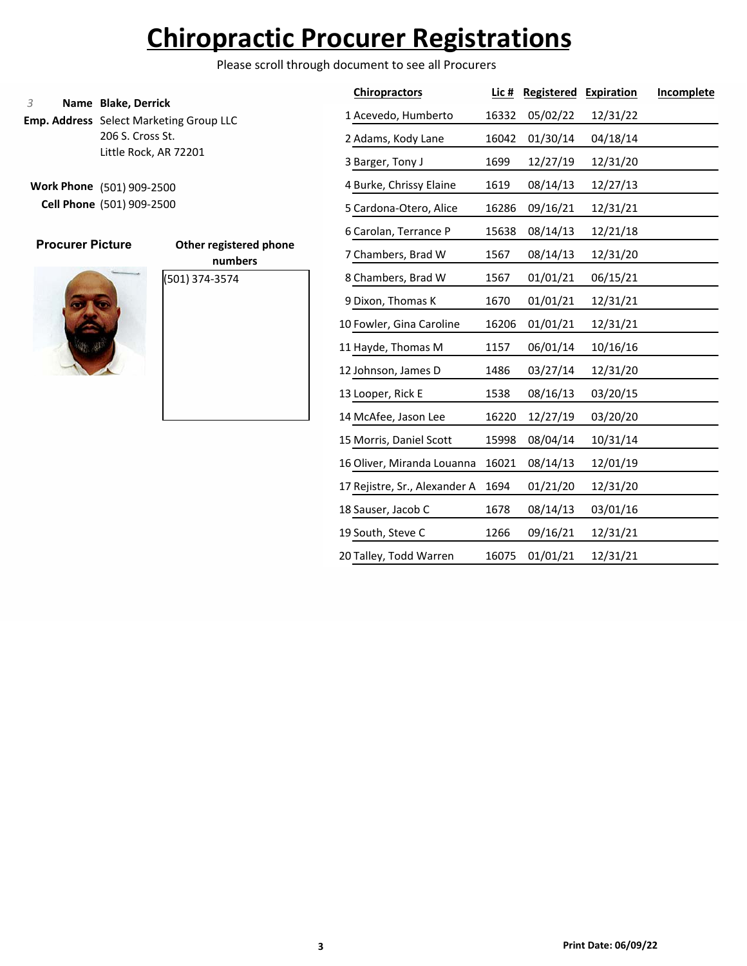Please scroll through document to see all Procurers

### **Name Blake, Derrick**

**Emp. Address** Select Marketing Group LLC 206 S. Cross St. Little Rock, AR 72201

**Work Phone** (501) 909-2500 **Cell Phone** (501) 909-2500

### **Procurer Picture**



|                | OUIGI I GRISLEI EU P |
|----------------|----------------------|
|                | numbers              |
| (501) 374-3574 |                      |
|                |                      |
|                |                      |
|                |                      |

| <b>Chiropractors</b>          | Lic # | <b>Registered</b> | <b>Expiration</b> | Incomplete |
|-------------------------------|-------|-------------------|-------------------|------------|
| 1 Acevedo, Humberto           | 16332 | 05/02/22          | 12/31/22          |            |
| 2 Adams, Kody Lane            | 16042 | 01/30/14          | 04/18/14          |            |
| 3 Barger, Tony J              | 1699  | 12/27/19          | 12/31/20          |            |
| 4 Burke, Chrissy Elaine       | 1619  | 08/14/13          | 12/27/13          |            |
| 5 Cardona-Otero, Alice        | 16286 | 09/16/21          | 12/31/21          |            |
| 6 Carolan, Terrance P         | 15638 | 08/14/13          | 12/21/18          |            |
| 7 Chambers, Brad W            | 1567  | 08/14/13          | 12/31/20          |            |
| 8 Chambers, Brad W            | 1567  | 01/01/21          | 06/15/21          |            |
| 9 Dixon, Thomas K             | 1670  | 01/01/21          | 12/31/21          |            |
| 10 Fowler, Gina Caroline      | 16206 | 01/01/21          | 12/31/21          |            |
| 11 Hayde, Thomas M            | 1157  | 06/01/14          | 10/16/16          |            |
| 12 Johnson, James D           | 1486  | 03/27/14          | 12/31/20          |            |
| 13 Looper, Rick E             | 1538  | 08/16/13          | 03/20/15          |            |
| 14 McAfee, Jason Lee          | 16220 | 12/27/19          | 03/20/20          |            |
| 15 Morris, Daniel Scott       | 15998 | 08/04/14          | 10/31/14          |            |
| 16 Oliver, Miranda Louanna    | 16021 | 08/14/13          | 12/01/19          |            |
| 17 Rejistre, Sr., Alexander A | 1694  | 01/21/20          | 12/31/20          |            |
| 18 Sauser, Jacob C            | 1678  | 08/14/13          | 03/01/16          |            |
| 19 South, Steve C             | 1266  | 09/16/21          | 12/31/21          |            |
| 20 Talley, Todd Warren        | 16075 | 01/01/21          | 12/31/21          |            |
|                               |       |                   |                   |            |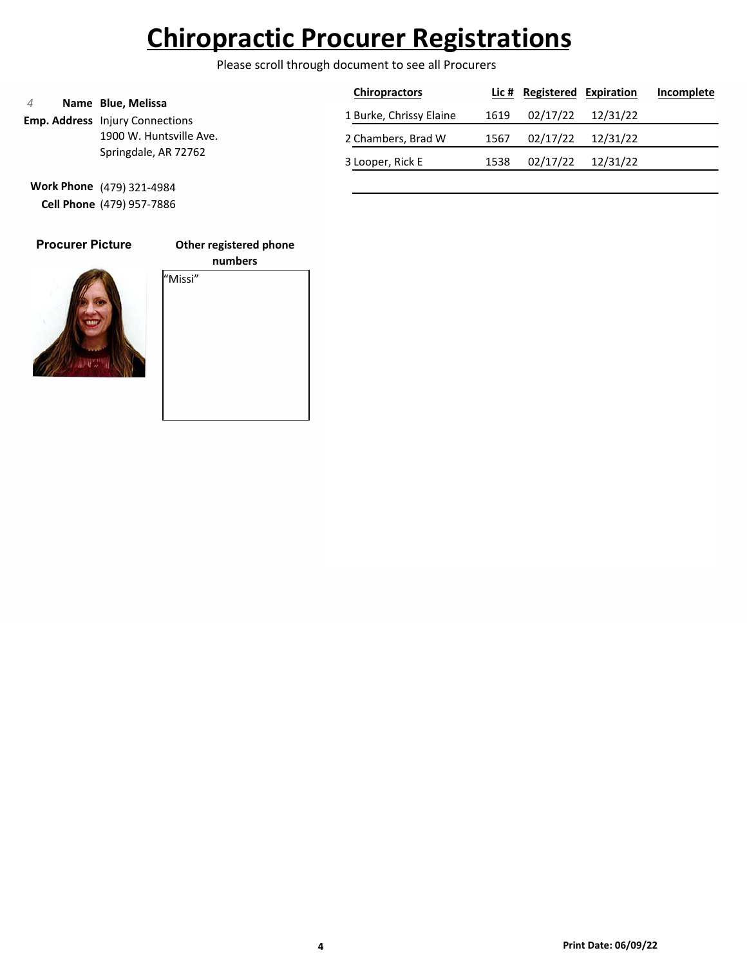Please scroll through document to see all Procurers

|                      |                                                              | <b>Chiropractors</b>    |          | Lic # Registered Expiration |          | Incomplete |
|----------------------|--------------------------------------------------------------|-------------------------|----------|-----------------------------|----------|------------|
|                      | Name Blue, Melissa<br><b>Emp. Address</b> Injury Connections | 1 Burke, Chrissy Elaine | 1619     | 02/17/22                    | 12/31/22 |            |
|                      | 1900 W. Huntsville Ave.                                      | 2 Chambers, Brad W      | 1567     | 02/17/22                    | 12/31/22 |            |
| Springdale, AR 72762 | 3 Looper, Rick E                                             | 1538                    | 02/17/22 | 12/31/22                    |          |            |

**Work Phone** (479) 321-4984 **Cell Phone** (479) 957-7886

### **Procurer Picture**

### **Other registered phone**



**numbers** "Missi"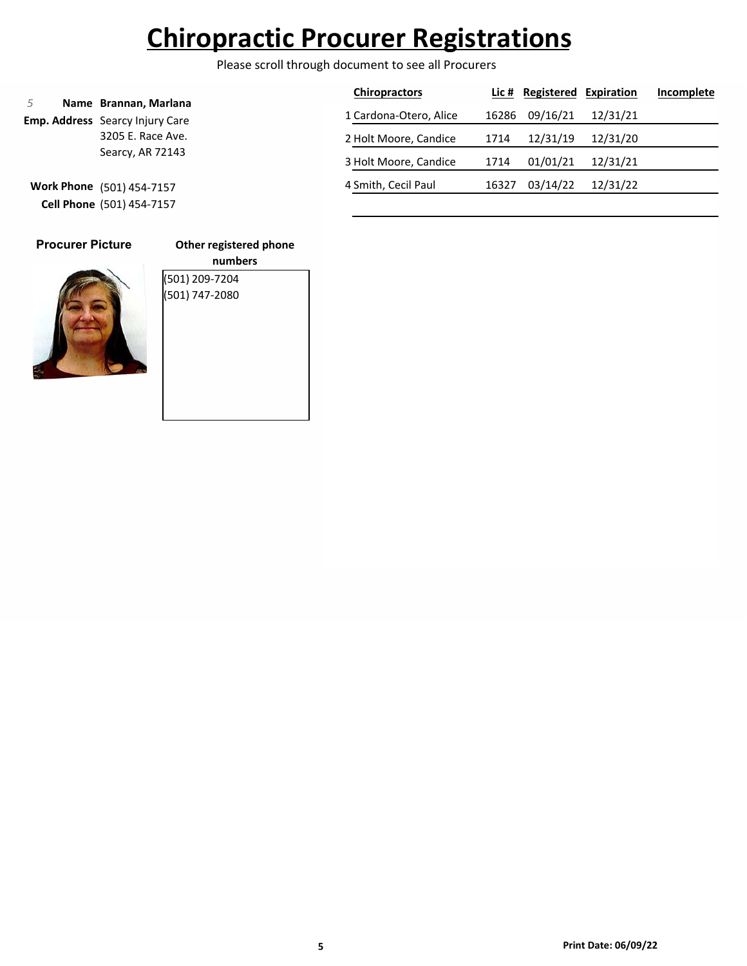Please scroll through document to see all Procurers

|                                       |                                                                 | <b>Chiropractors</b>   |       | Lic # Registered | Expiration | Incomplete |
|---------------------------------------|-----------------------------------------------------------------|------------------------|-------|------------------|------------|------------|
|                                       | Name Brannan, Marlana<br><b>Emp. Address</b> Searcy Injury Care | 1 Cardona-Otero, Alice | 16286 | 09/16/21         | 12/31/21   |            |
| 3205 E. Race Ave.<br>Searcy, AR 72143 |                                                                 | 2 Holt Moore, Candice  | 1714  | 12/31/19         | 12/31/20   |            |
|                                       |                                                                 | 3 Holt Moore, Candice  | 1714  | 01/01/21         | 12/31/21   |            |
|                                       | Work Phone (501) 454-7157                                       | 4 Smith, Cecil Paul    | 16327 | 03/14/22         | 12/31/22   |            |
|                                       | <b>Cell Phone</b> (501) 454-7157                                |                        |       |                  |            |            |

### **Other registered phone**



**numbers** (501) 209-7204 (501) 747-2080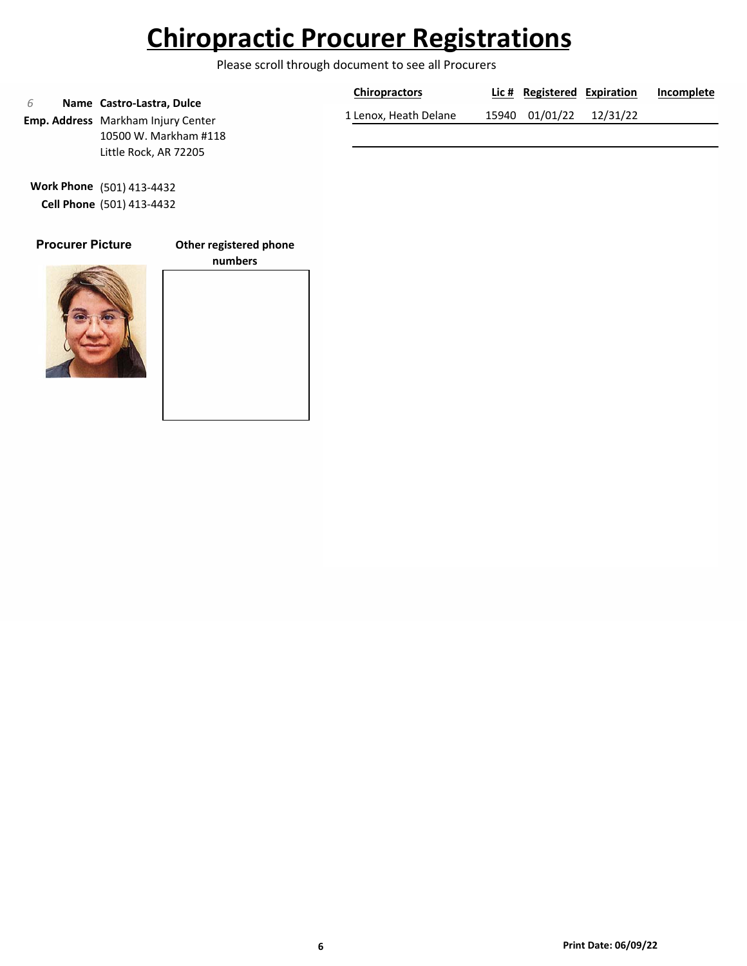Please scroll through document to see all Procurers

|                                                                        | <b>Chiropractors</b>  | Lic # Registered Expiration |          | Incomplete |
|------------------------------------------------------------------------|-----------------------|-----------------------------|----------|------------|
| Name Castro-Lastra, Dulce<br><b>Emp. Address</b> Markham Injury Center | 1 Lenox, Heath Delane | 15940 01/01/22              | 12/31/22 |            |
| 10500 W. Markham #118                                                  |                       |                             |          |            |
| Little Rock, AR 72205                                                  |                       |                             |          |            |

**Work Phone** (501) 413-4432 **Cell Phone** (501) 413-4432

### **Procurer Picture**

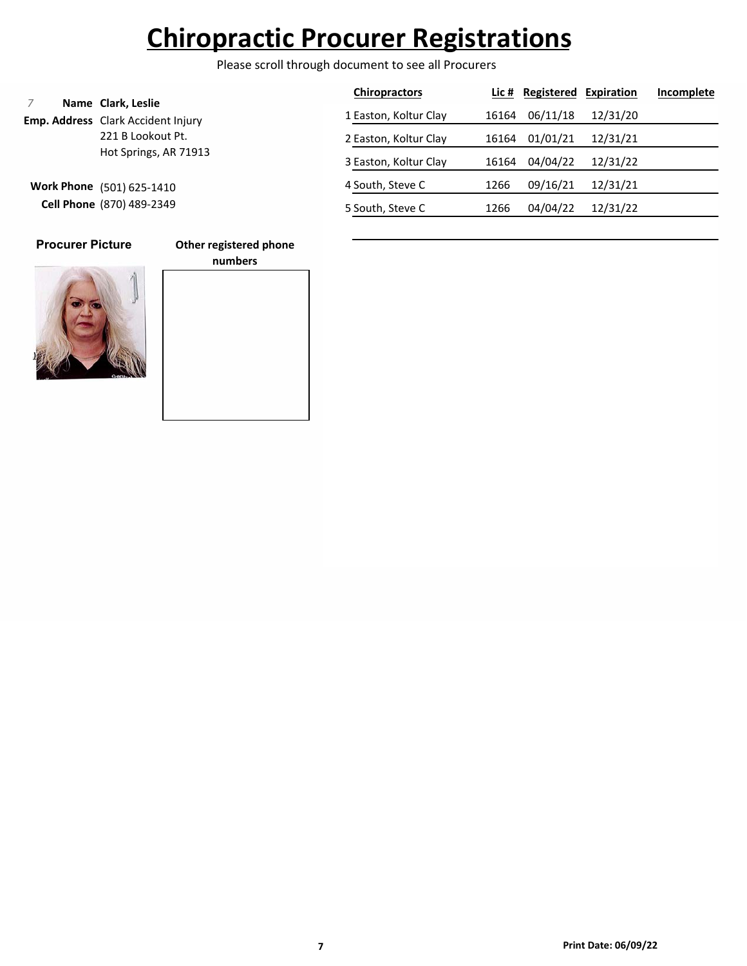Please scroll through document to see all Procurers

|                                                        |                                                                 | <b>Chiropractors</b>  |          | Lic # Registered | Expiration | Incomplete |
|--------------------------------------------------------|-----------------------------------------------------------------|-----------------------|----------|------------------|------------|------------|
|                                                        | Name Clark, Leslie<br><b>Emp. Address</b> Clark Accident Injury | 1 Easton, Koltur Clay | 16164    | 06/11/18         | 12/31/20   |            |
| 221 B Lookout Pt.<br>Hot Springs, AR 71913             | 2 Easton, Koltur Clay                                           | 16164                 | 01/01/21 | 12/31/21         |            |            |
|                                                        | 3 Easton, Koltur Clay                                           | 16164                 | 04/04/22 | 12/31/22         |            |            |
| Work Phone (501) 625-1410<br>Cell Phone (870) 489-2349 |                                                                 | 4 South, Steve C      | 1266     | 09/16/21         | 12/31/21   |            |
|                                                        | 5 South, Steve C                                                | 1266                  | 04/04/22 | 12/31/22         |            |            |

### **Procurer Picture**

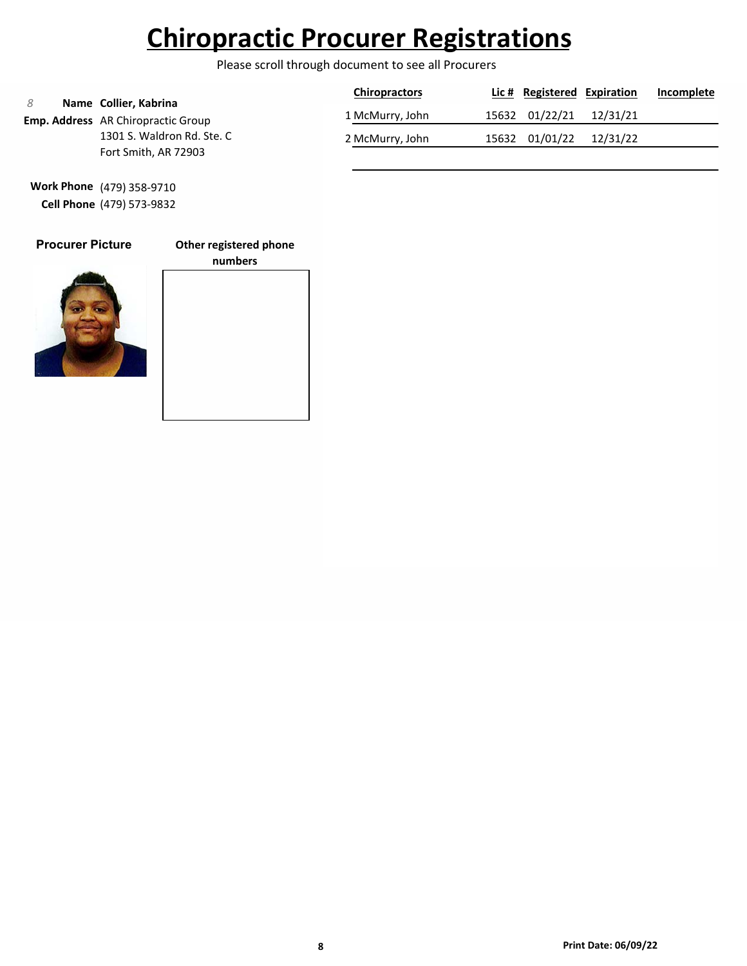Please scroll through document to see all Procurers

|                                                    | Name Collier, Kabrina                     | <b>Chiropractors</b> | Lic # Registered Expiration |  | Incomplete |
|----------------------------------------------------|-------------------------------------------|----------------------|-----------------------------|--|------------|
|                                                    | <b>Emp. Address</b> AR Chiropractic Group | 1 McMurry, John      | 15632 01/22/21 12/31/21     |  |            |
| 1301 S. Waldron Rd. Ste. C<br>Fort Smith, AR 72903 | 2 McMurry, John                           | 15632 01/01/22       | 12/31/22                    |  |            |

**Work Phone** (479) 358-9710 **Cell Phone** (479) 573-9832



### **Other registered phone**

**numbers**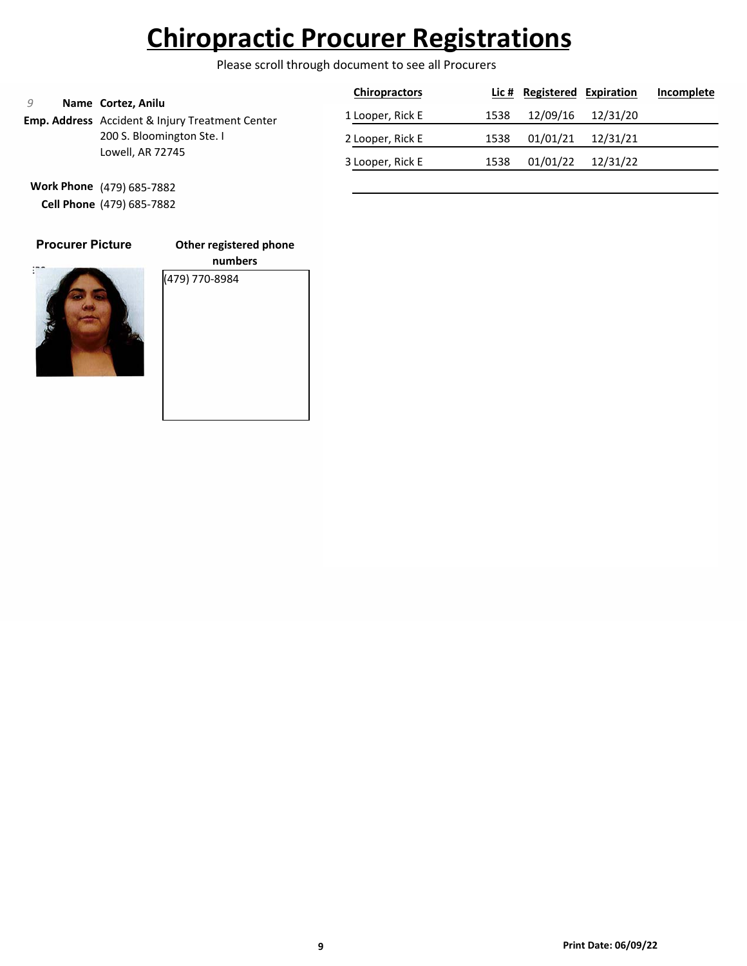Please scroll through document to see all Procurers

|                                                                                                                        |                  | <b>Chiropractors</b> |          | Lic # Registered Expiration |          | Incomplete |
|------------------------------------------------------------------------------------------------------------------------|------------------|----------------------|----------|-----------------------------|----------|------------|
| Name Cortez, Anilu<br>Emp. Address Accident & Injury Treatment Center<br>200 S. Bloomington Ste. I<br>Lowell, AR 72745 | 1 Looper, Rick E | 1538                 | 12/09/16 | 12/31/20                    |          |            |
|                                                                                                                        | 2 Looper, Rick E | 1538                 | 01/01/21 | 12/31/21                    |          |            |
|                                                                                                                        |                  | 3 Looper, Rick E     | 1538     | 01/01/22                    | 12/31/22 |            |
|                                                                                                                        |                  |                      |          |                             |          |            |

**Work Phone** (479) 685-7882 **Cell Phone** (479) 685-7882

### **Procurer Picture**

**Other registered phone**



**numbers** (479) 770-8984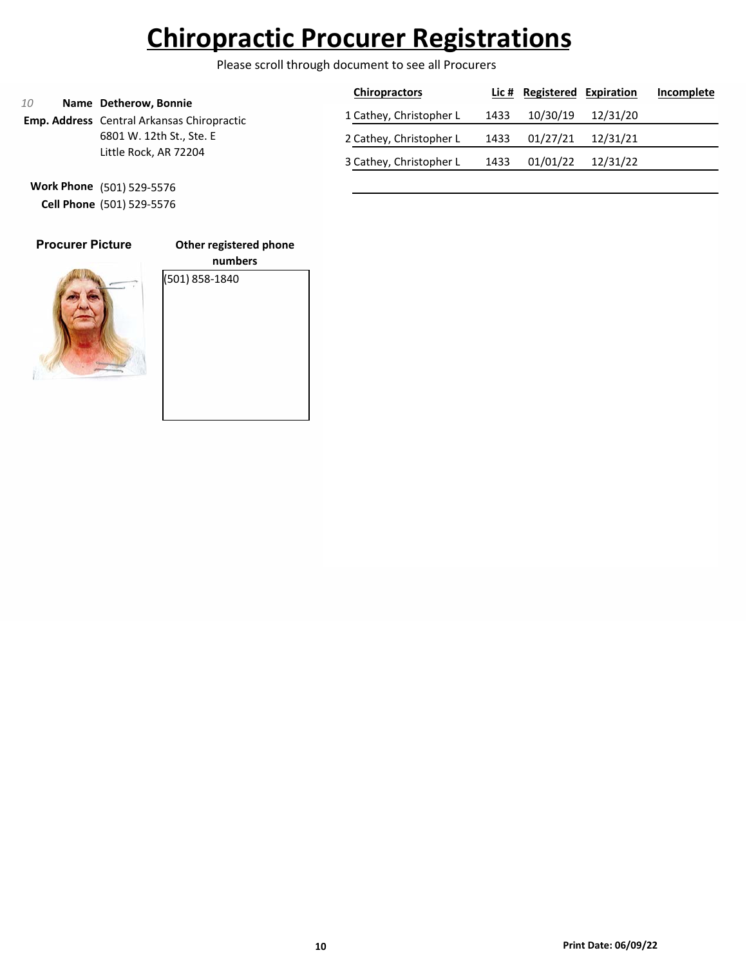Please scroll through document to see all Procurers

|                                                   |                                                                     | <b>Chiropractors</b>    |          | <b>Lic # Registered Expiration</b> |          | Incomplete |
|---------------------------------------------------|---------------------------------------------------------------------|-------------------------|----------|------------------------------------|----------|------------|
| 10                                                | Name Detherow, Bonnie<br>Emp. Address Central Arkansas Chiropractic | 1 Cathey, Christopher L | 1433     | 10/30/19                           | 12/31/20 |            |
| 6801 W. 12th St., Ste. E<br>Little Rock, AR 72204 | 2 Cathey, Christopher L                                             | 1433                    | 01/27/21 | 12/31/21                           |          |            |
|                                                   |                                                                     | 3 Cathey, Christopher L | 1433     | 01/01/22                           | 12/31/22 |            |

**Work Phone** (501) 529-5576 **Cell Phone** (501) 529-5576

| <b>Procurer Picture</b> |  |
|-------------------------|--|
|                         |  |
|                         |  |

**Other registered phone**

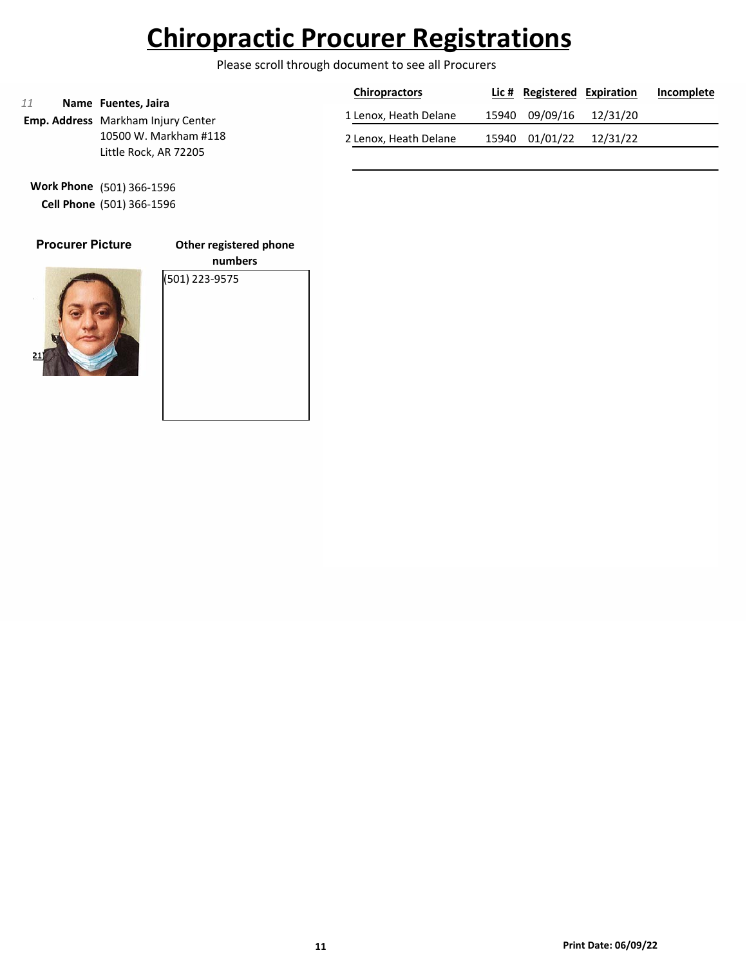Please scroll through document to see all Procurers

|                                                                  | <b>Chiropractors</b>  | Lic # Registered Expiration |          | Incomplete |
|------------------------------------------------------------------|-----------------------|-----------------------------|----------|------------|
| Name Fuentes, Jaira<br><b>Emp. Address</b> Markham Injury Center | 1 Lenox, Heath Delane | 15940 09/09/16              | 12/31/20 |            |
| 10500 W. Markham #118                                            | 2 Lenox, Heath Delane | 15940 01/01/22              | 12/31/22 |            |
| Little Rock, AR 72205                                            |                       |                             |          |            |

**Work Phone** (501) 366-1596 **Cell Phone** (501) 366-1596

### **Procurer Picture**

**Other registered phone**



**numbers** (501) 223-9575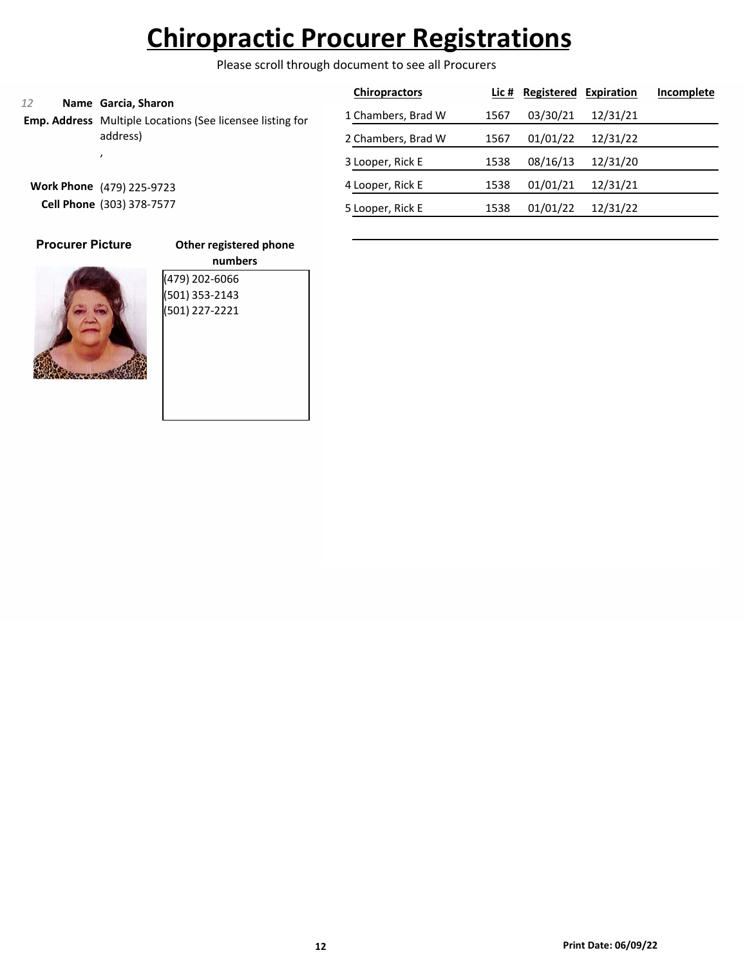Please scroll through document to see all Procurers

| 12<br>Name Garcia, Sharon<br>Emp. Address Multiple Locations (See licensee listing for<br>address) |                    | <b>Chiropractors</b> |          | Lic # Registered Expiration |          | Incomplete |
|----------------------------------------------------------------------------------------------------|--------------------|----------------------|----------|-----------------------------|----------|------------|
|                                                                                                    |                    | 1 Chambers, Brad W   | 1567     | 03/30/21                    | 12/31/21 |            |
|                                                                                                    | 2 Chambers, Brad W | 1567                 | 01/01/22 | 12/31/22                    |          |            |
|                                                                                                    |                    | 3 Looper, Rick E     | 1538     | 08/16/13                    | 12/31/20 |            |
| <b>Work Phone</b><br>(479) 225-9723<br>Cell Phone (303) 378-7577                                   |                    | 4 Looper, Rick E     | 1538     | 01/01/21                    | 12/31/21 |            |
|                                                                                                    |                    | 5 Looper, Rick E     | 1538     | 01/01/22                    | 12/31/22 |            |
|                                                                                                    |                    |                      |          |                             |          |            |

| ß | والمستور |  |
|---|----------|--|

**Procurer Picture**

| (479) 202-6066 |  |
|----------------|--|
| (501) 353-2143 |  |
| (501) 227-2221 |  |
|                |  |
|                |  |
|                |  |
|                |  |
|                |  |
|                |  |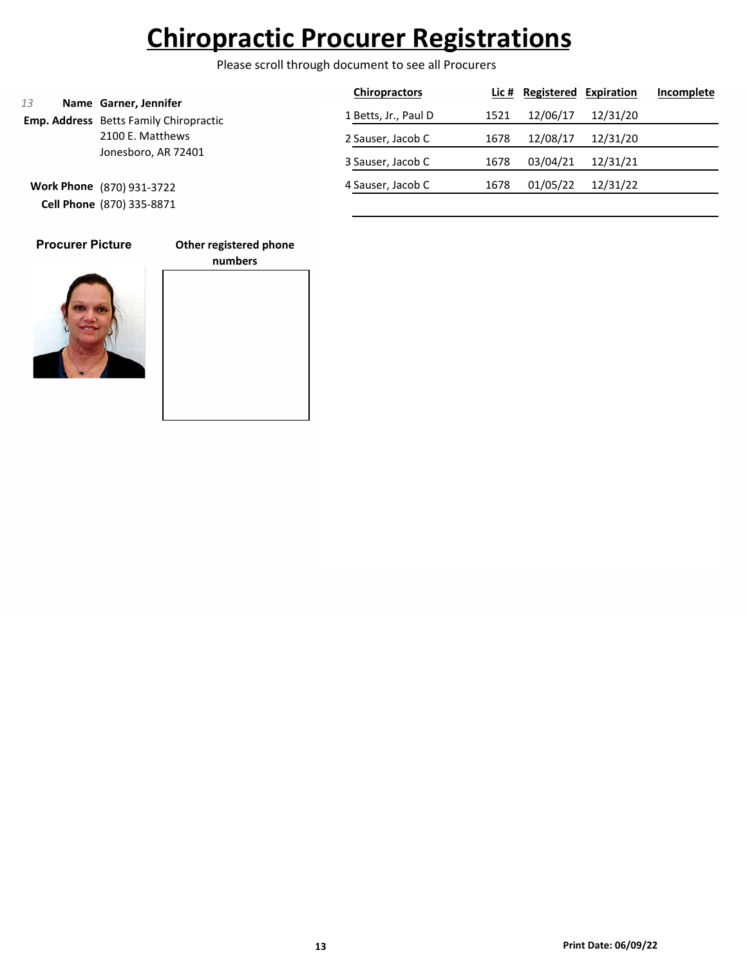Please scroll through document to see all Procurers

|                                                                              |                           | <b>Chiropractors</b> |      | Lic # Registered | Expiration | Incomplete |
|------------------------------------------------------------------------------|---------------------------|----------------------|------|------------------|------------|------------|
| 13<br>Name Garner, Jennifer<br><b>Emp. Address</b> Betts Family Chiropractic |                           | 1 Betts, Jr., Paul D | 1521 | 12/06/17         | 12/31/20   |            |
|                                                                              | 2100 E. Matthews          | 2 Sauser, Jacob C    | 1678 | 12/08/17         | 12/31/20   |            |
| Jonesboro, AR 72401                                                          |                           | 3 Sauser, Jacob C    | 1678 | 03/04/21         | 12/31/21   |            |
|                                                                              | Work Phone (870) 931-3722 | 4 Sauser, Jacob C    | 1678 | 01/05/22         | 12/31/22   |            |
|                                                                              | Cell Phone (870) 335-8871 |                      |      |                  |            |            |

**Procurer Picture**

**Other registered phone**



# **numbers**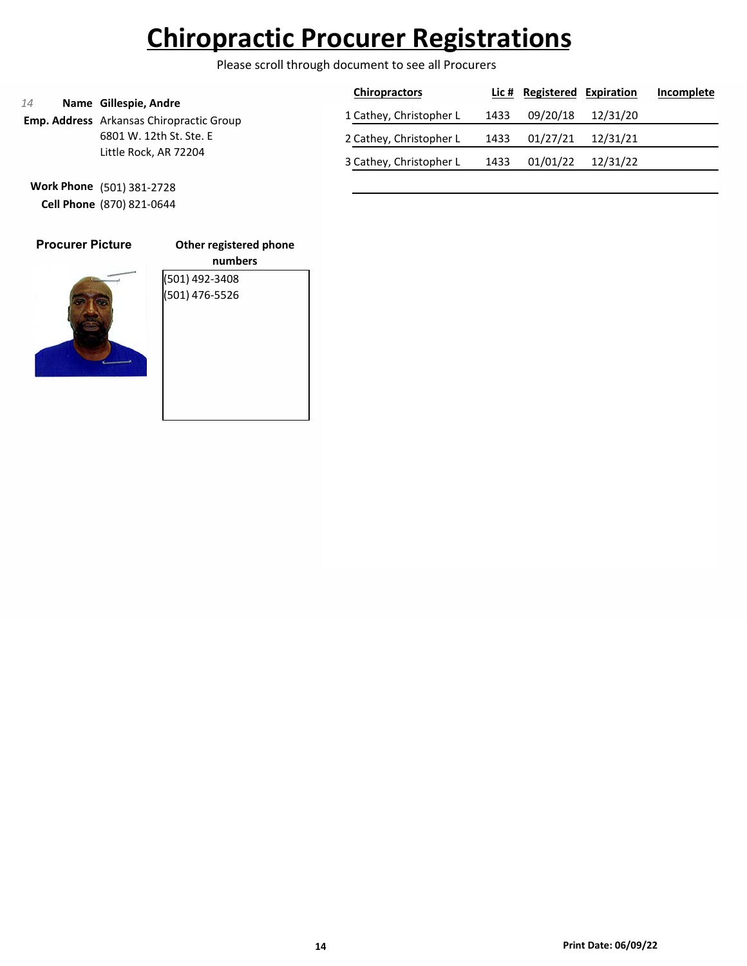Please scroll through document to see all Procurers

|                                                                                                           | <b>Chiropractors</b>    |      | Lic # Registered Expiration |          | Incomplete |
|-----------------------------------------------------------------------------------------------------------|-------------------------|------|-----------------------------|----------|------------|
| Name Gillespie, Andre<br>14<br><b>Emp. Address</b> Arkansas Chiropractic Group<br>6801 W. 12th St. Ste. E | 1 Cathey, Christopher L | 1433 | 09/20/18                    | 12/31/20 |            |
|                                                                                                           | 2 Cathey, Christopher L | 1433 | 01/27/21                    | 12/31/21 |            |
| Little Rock, AR 72204                                                                                     | 3 Cathey, Christopher L | 1433 | 01/01/22                    | 12/31/22 |            |

**Work Phone** (501) 381-2728 **Cell Phone** (870) 821-0644

| <b>Procurer Picture</b> | Other                |
|-------------------------|----------------------|
|                         | (501) 49<br>(501) 47 |
|                         |                      |

**Other registered phone numbers** (2-3408) (501) 476-5526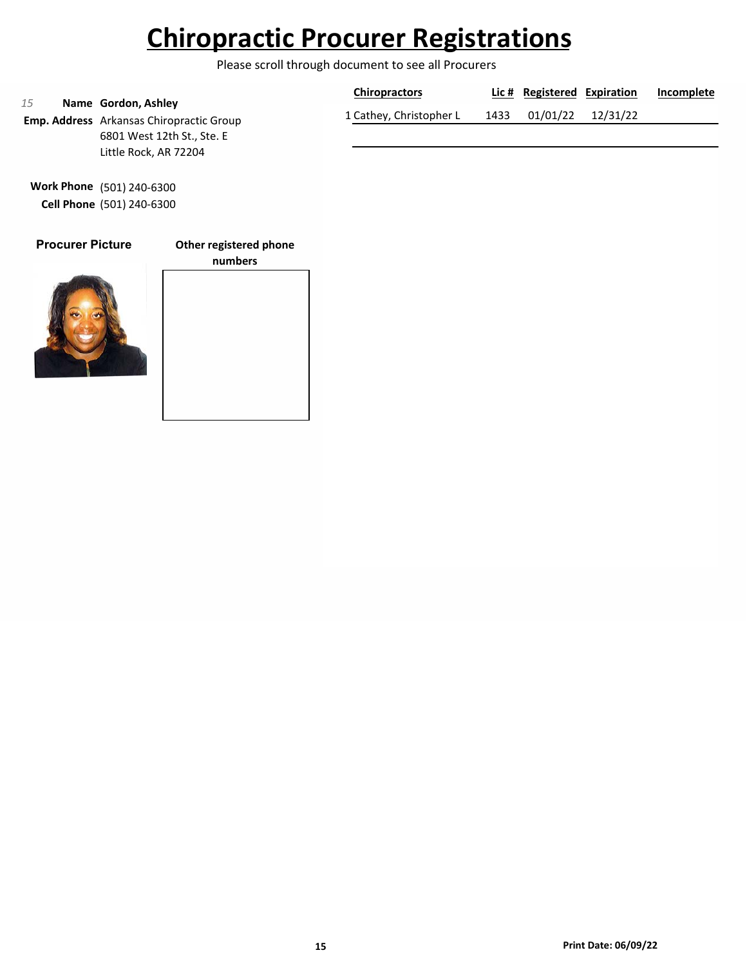Please scroll through document to see all Procurers

| 15<br>Name Gordon, Ashley<br><b>Emp. Address</b> Arkansas Chiropractic Group | <b>Chiropractors</b>    |      | Lic # Registered Expiration |                   | Incomplete |
|------------------------------------------------------------------------------|-------------------------|------|-----------------------------|-------------------|------------|
|                                                                              | 1 Cathey, Christopher L | 1433 |                             | 01/01/22 12/31/22 |            |
| 6801 West 12th St., Ste. E                                                   |                         |      |                             |                   |            |

**Work Phone** (501) 240-6300 **Cell Phone** (501) 240-6300

Little Rock, AR 72204

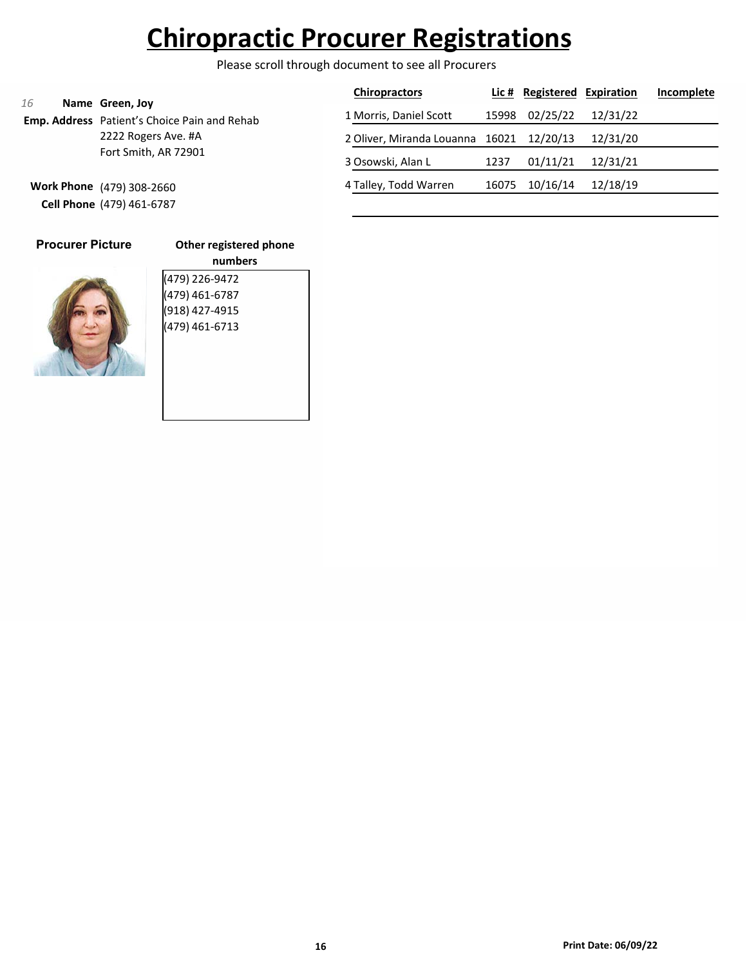Please scroll through document to see all Procurers

| 16                   |                                                                 | <b>Chiropractors</b>      |       | Lic # Registered Expiration |          | Incomplete |
|----------------------|-----------------------------------------------------------------|---------------------------|-------|-----------------------------|----------|------------|
|                      | Name Green, Joy<br>Emp. Address Patient's Choice Pain and Rehab | 1 Morris, Daniel Scott    | 15998 | 02/25/22                    | 12/31/22 |            |
|                      | 2222 Rogers Ave. #A                                             | 2 Oliver, Miranda Louanna | 16021 | 12/20/13                    | 12/31/20 |            |
| Fort Smith, AR 72901 |                                                                 | 3 Osowski, Alan L         | 1237  | 01/11/21                    | 12/31/21 |            |
|                      | Work Phone (479) 308-2660                                       | 4 Talley, Todd Warren     | 16075 | 10/16/14                    | 12/18/19 |            |
|                      | Cell Phone (479) 461-6787                                       |                           |       |                             |          |            |

| <b>Procurer Picture</b> |  |
|-------------------------|--|
|                         |  |

|  | Other registered phone |  |
|--|------------------------|--|
|  |                        |  |



| numbers        |
|----------------|
| (479) 226-9472 |
| (479) 461-6787 |
| (918) 427-4915 |
| (479) 461-6713 |
|                |
|                |
|                |
|                |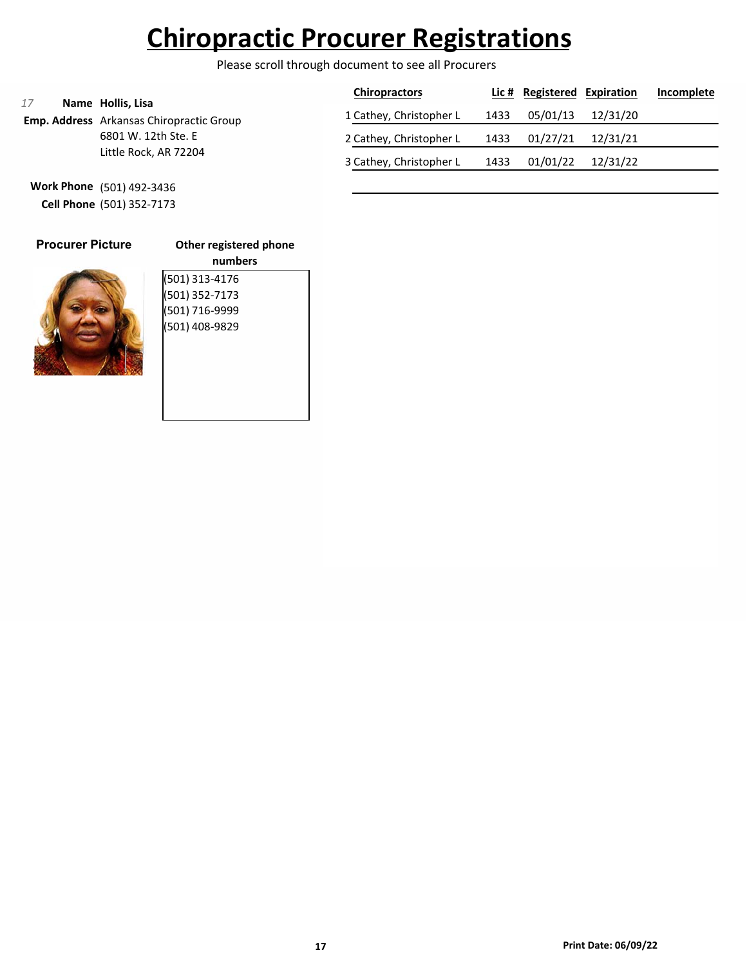Please scroll through document to see all Procurers

| Name Hollis, Lisa<br>17                         | <b>Chiropractors</b>    |      | Lic # Registered Expiration |          | Incomplete |
|-------------------------------------------------|-------------------------|------|-----------------------------|----------|------------|
| <b>Emp. Address</b> Arkansas Chiropractic Group | 1 Cathey, Christopher L | 1433 | 05/01/13                    | 12/31/20 |            |
| 6801 W. 12th Ste. E                             | 2 Cathey, Christopher L | 1433 | 01/27/21                    | 12/31/21 |            |
| Little Rock, AR 72204                           | 3 Cathey, Christopher L | 1433 | 01/01/22                    | 12/31/22 |            |

**Work Phone** (501) 492-3436 **Cell Phone** (501) 352-7173

| <b>Procurer Picture</b> |  |
|-------------------------|--|
|                         |  |

### **Other registered phone**



| Other registered phone |
|------------------------|
| numbers                |
| (501) 313-4176         |
| (501) 352-7173         |
| (501) 716-9999         |
| (501) 408-9829         |
|                        |
|                        |
|                        |
|                        |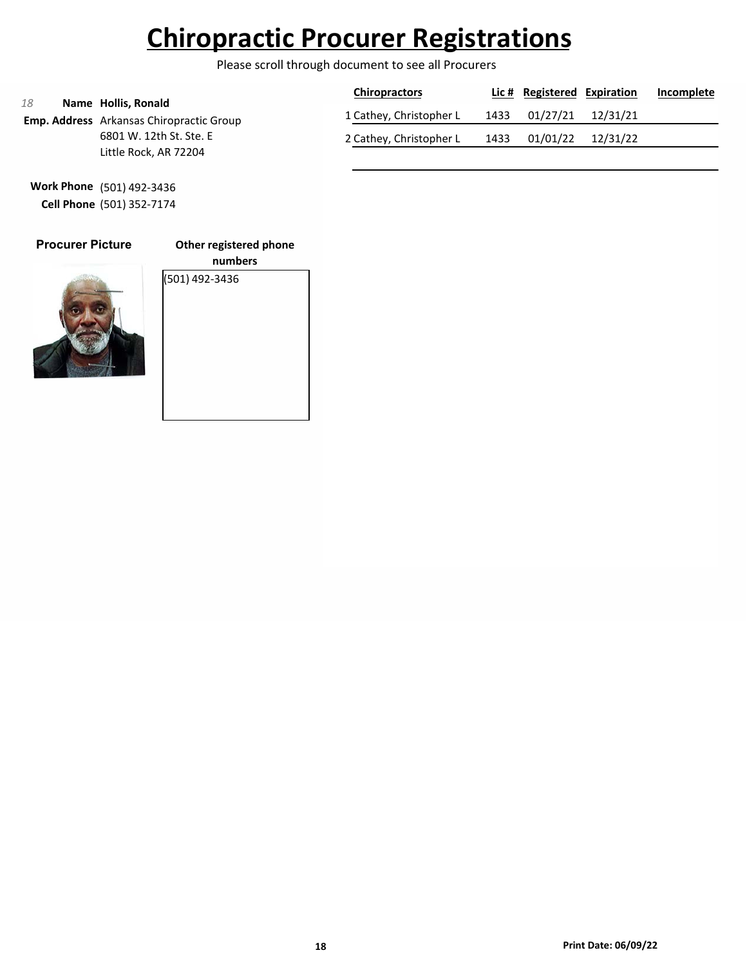Please scroll through document to see all Procurers

| 18 |                                                                        | <b>Chiropractors</b>    |      | Lic # Registered Expiration |                   | Incomplete |
|----|------------------------------------------------------------------------|-------------------------|------|-----------------------------|-------------------|------------|
|    | Name Hollis, Ronald<br><b>Emp. Address</b> Arkansas Chiropractic Group | 1 Cathey, Christopher L | 1433 | 01/27/21 12/31/21           |                   |            |
|    | 6801 W. 12th St. Ste. E                                                | 2 Cathey, Christopher L | 1433 |                             | 01/01/22 12/31/22 |            |
|    | Little Rock, AR 72204                                                  |                         |      |                             |                   |            |

**Work Phone** (501) 492-3436 **Cell Phone** (501) 352-7174

### **Procurer Picture**

**Other registered phone**



**numbers** (501) 492-3436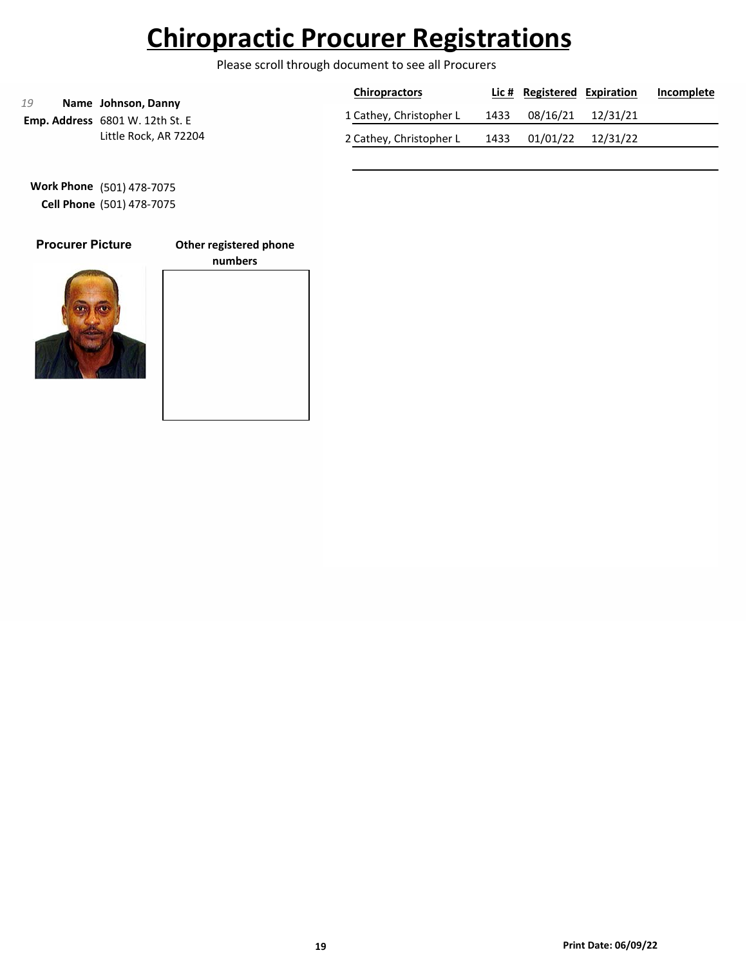Please scroll through document to see all Procurers

|                                                              | <b>Chiropractors</b>    |      | Lic # Registered Expiration |                   | Incomplete |
|--------------------------------------------------------------|-------------------------|------|-----------------------------|-------------------|------------|
| 19<br>Name Johnson, Danny<br>Emp. Address 6801 W. 12th St. E | 1 Cathey, Christopher L | 1433 | 08/16/21 12/31/21           |                   |            |
| Little Rock, AR 72204                                        | 2 Cathey, Christopher L | 1433 |                             | 01/01/22 12/31/22 |            |

**Work Phone** (501) 478-7075 **Cell Phone** (501) 478-7075

### **Procurer Picture**

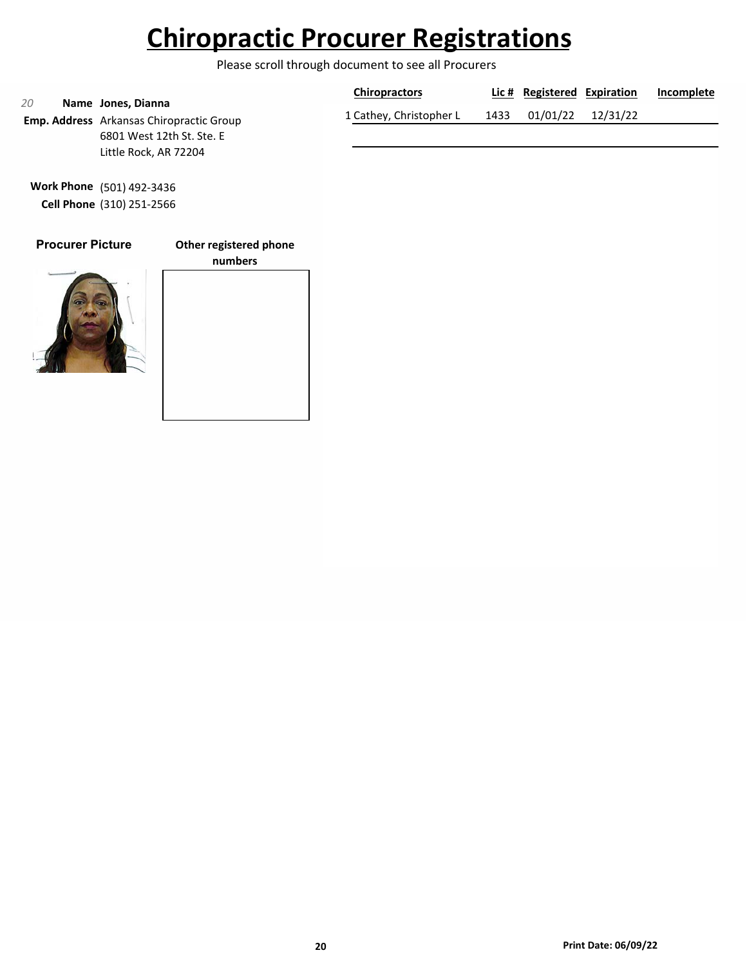Please scroll through document to see all Procurers

| 20                                                                    | <b>Chiropractors</b>    |      | Lic # Registered Expiration |                   | Incomplete |
|-----------------------------------------------------------------------|-------------------------|------|-----------------------------|-------------------|------------|
| Name Jones, Dianna<br><b>Emp. Address</b> Arkansas Chiropractic Group | 1 Cathey, Christopher L | 1433 |                             | 01/01/22 12/31/22 |            |
| 6801 West 12th St. Ste. E                                             |                         |      |                             |                   |            |

**Work Phone** (501) 492-3436 **Cell Phone** (310) 251-2566

Little Rock, AR 72204

### **Procurer Picture**

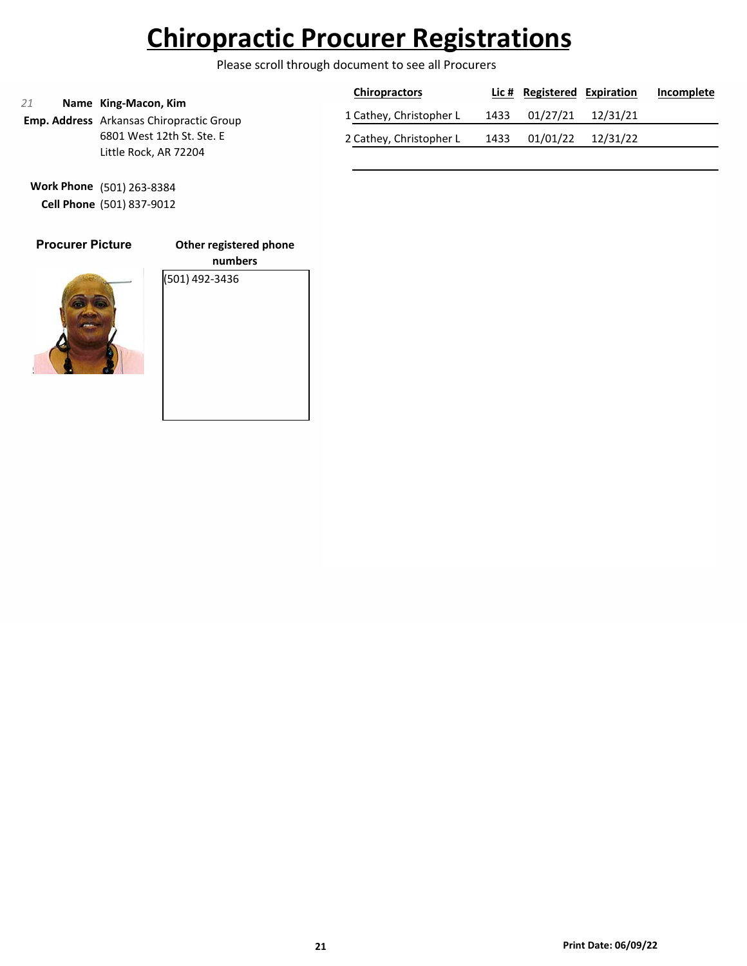Please scroll through document to see all Procurers

| 21 |                                                                  | <b>Chiropractors</b>    |      | Lic # Registered Expiration |                   | Incomplete |
|----|------------------------------------------------------------------|-------------------------|------|-----------------------------|-------------------|------------|
|    | Name King-Macon, Kim<br>Emp. Address Arkansas Chiropractic Group | 1 Cathey, Christopher L | 1433 | 01/27/21 12/31/21           |                   |            |
|    | 6801 West 12th St. Ste. E                                        | 2 Cathey, Christopher L | 1433 |                             | 01/01/22 12/31/22 |            |
|    | Little Rock, AR 72204                                            |                         |      |                             |                   |            |

**Work Phone** (501) 263-8384 **Cell Phone** (501) 837-9012

### **Procurer Picture**

**Other registered phone**



**numbers** (501) 492-3436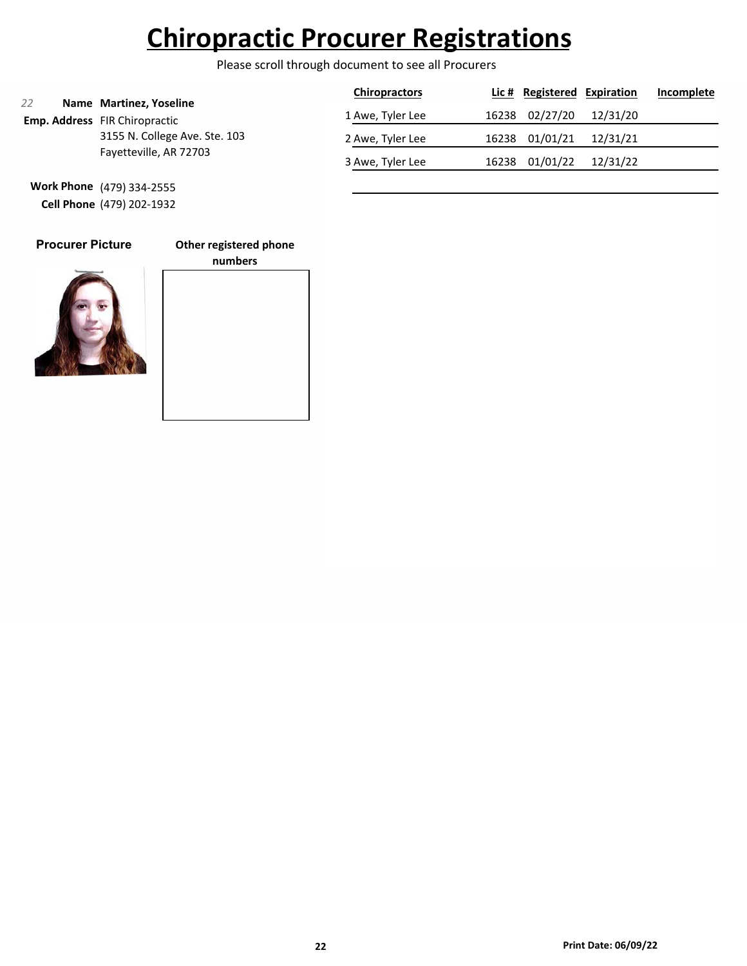Please scroll through document to see all Procurers

|                        |                                                                 | <b>Chiropractors</b> |          | Lic # Registered Expiration |          | Incomplete |
|------------------------|-----------------------------------------------------------------|----------------------|----------|-----------------------------|----------|------------|
| 22                     | Name Martinez, Yoseline<br><b>Emp. Address</b> FIR Chiropractic | 1 Awe, Tyler Lee     |          | 16238 02/27/20              | 12/31/20 |            |
|                        | 3155 N. College Ave. Ste. 103                                   | 2 Awe, Tyler Lee     |          | 16238 01/01/21              | 12/31/21 |            |
| Fayetteville, AR 72703 | 3 Awe, Tyler Lee                                                | 16238                | 01/01/22 | 12/31/22                    |          |            |

**Work Phone** (479) 334-2555 **Cell Phone** (479) 202-1932

### **Procurer Picture**

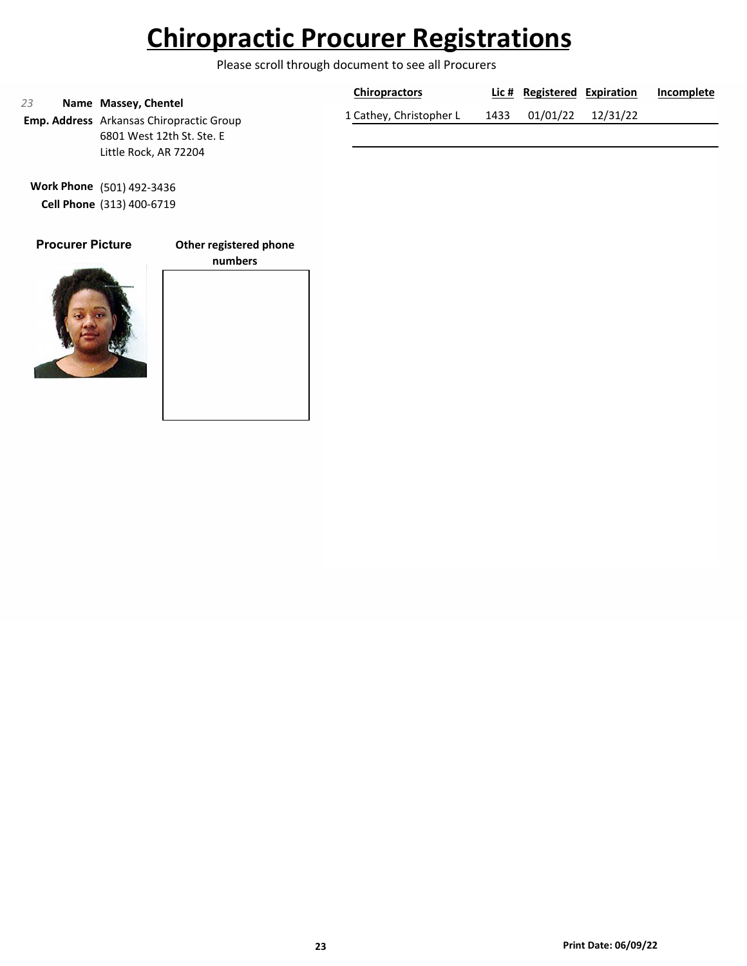Please scroll through document to see all Procurers

|    |                                                                         | <b>Chiropractors</b>    |      | Lic # Registered Expiration | Incomplete |
|----|-------------------------------------------------------------------------|-------------------------|------|-----------------------------|------------|
| 23 | Name Massey, Chentel<br><b>Emp. Address</b> Arkansas Chiropractic Group | 1 Cathey, Christopher L | 1433 | 01/01/22 12/31/22           |            |
|    | 6801 West 12th St. Ste. E                                               |                         |      |                             |            |

**Work Phone** (501) 492-3436 **Cell Phone** (313) 400-6719

Little Rock, AR 72204

### **Procurer Picture**

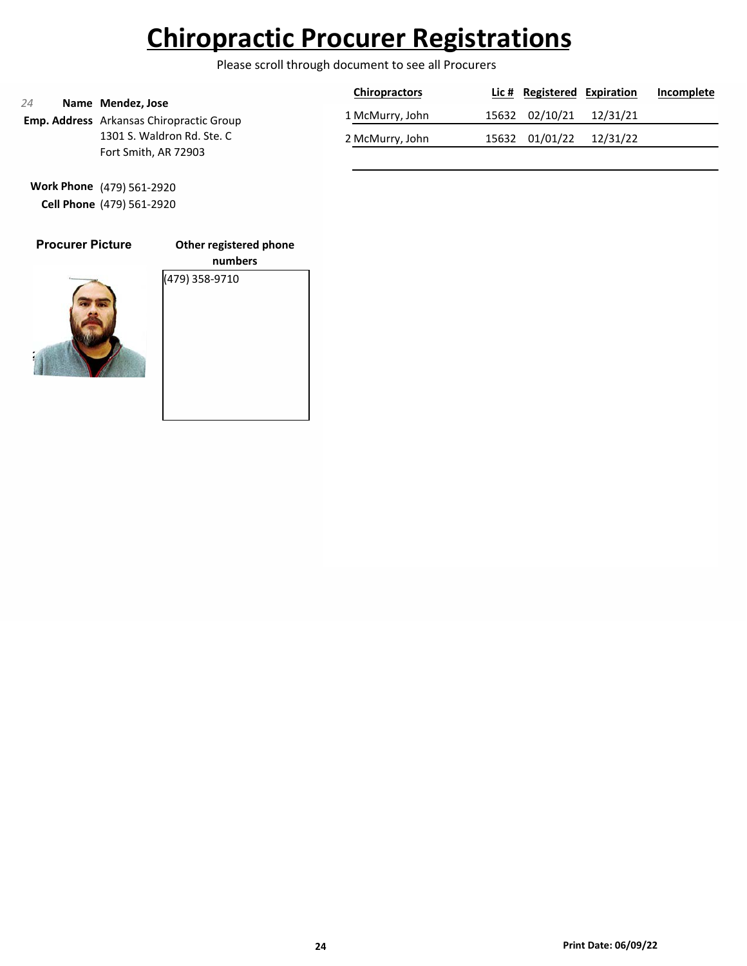Please scroll through document to see all Procurers

| 24                                                                   | <b>Chiropractors</b> | Lic # Registered Expiration | Incomplete |
|----------------------------------------------------------------------|----------------------|-----------------------------|------------|
| Name Mendez, Jose<br><b>Emp. Address</b> Arkansas Chiropractic Group | 1 McMurry, John      | 15632 02/10/21              | 12/31/21   |
| 1301 S. Waldron Rd. Ste. C                                           | 2 McMurry, John      | 15632 01/01/22              | 12/31/22   |
| Fort Smith, AR 72903                                                 |                      |                             |            |

**Work Phone** (479) 561-2920 **Cell Phone** (479) 561-2920

### **Procurer Picture**

**Other registered phone**



**numbers** (479) 358-9710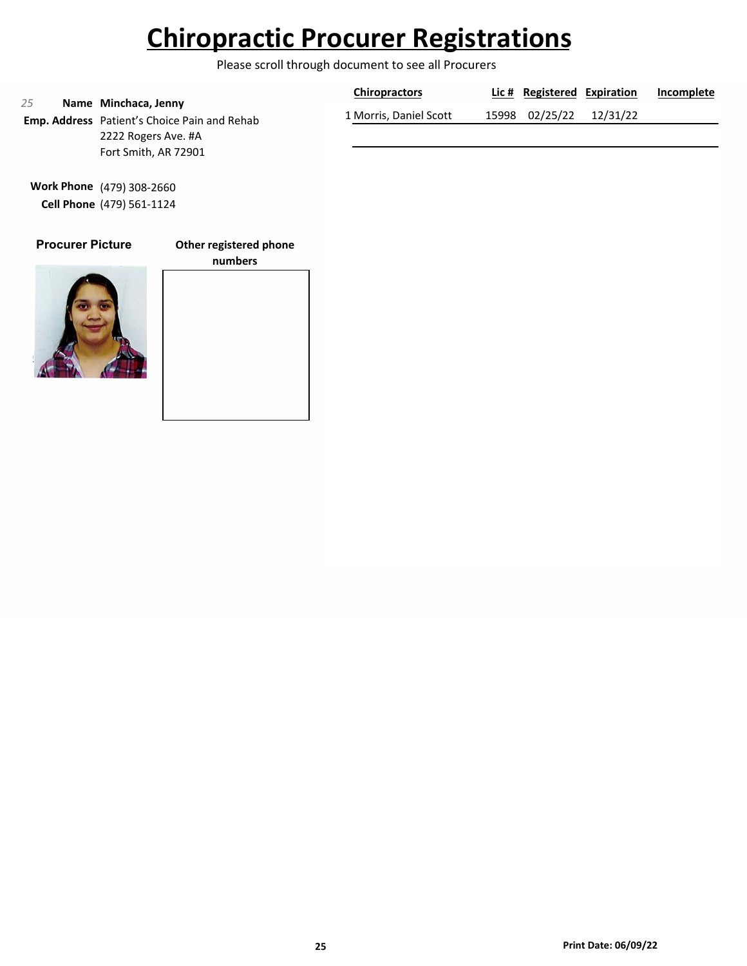Please scroll through document to see all Procurers

|    |                                                                      | <b>Chiropractors</b>   | Lic # Registered Expiration | Incomplete |
|----|----------------------------------------------------------------------|------------------------|-----------------------------|------------|
| 25 | Name Minchaca, Jenny<br>Emp. Address Patient's Choice Pain and Rehab | 1 Morris, Daniel Scott | 15998 02/25/22 12/31/22     |            |
|    | 2222 Rogers Ave. #A                                                  |                        |                             |            |

**Work Phone** (479) 308-2660 **Cell Phone** (479) 561-1124

Fort Smith, AR 72901

### **Procurer Picture**

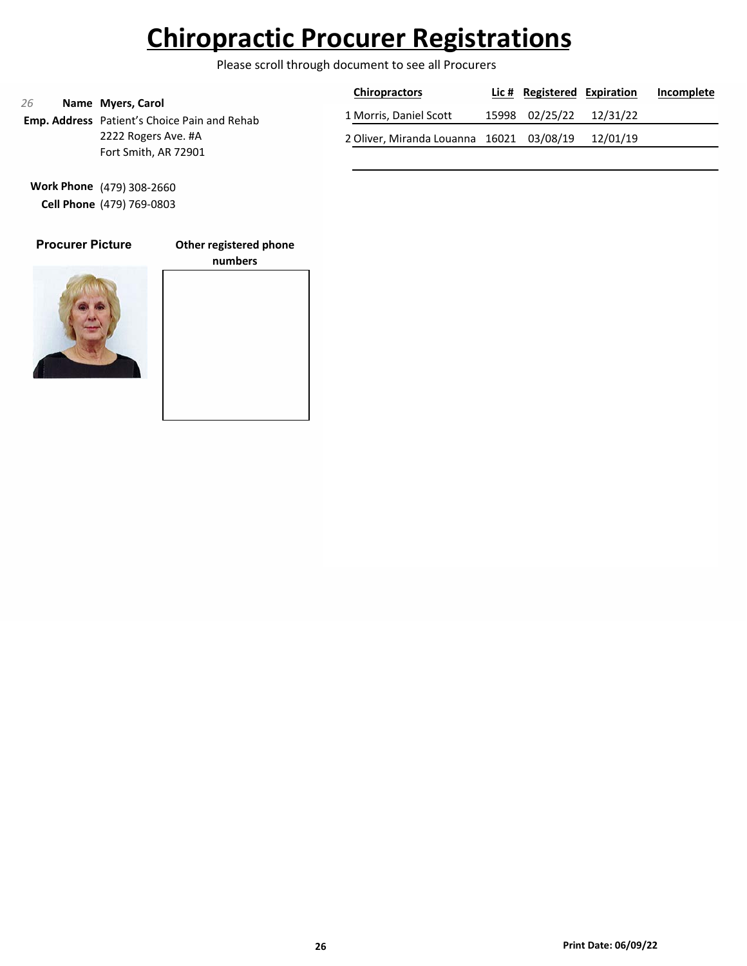Please scroll through document to see all Procurers

|                     |                                                                          | <b>Chiropractors</b>                              | Lic # Registered Expiration | Incomplete |
|---------------------|--------------------------------------------------------------------------|---------------------------------------------------|-----------------------------|------------|
| 26                  | Name Myers, Carol<br><b>Emp. Address</b> Patient's Choice Pain and Rehab | 1 Morris, Daniel Scott                            | 15998 02/25/22 12/31/22     |            |
| 2222 Rogers Ave. #A |                                                                          | 2 Oliver, Miranda Louanna 16021 03/08/19 12/01/19 |                             |            |
|                     | Fort Smith, AR 72901                                                     |                                                   |                             |            |

**Work Phone** (479) 308-2660 **Cell Phone** (479) 769-0803

### **Procurer Picture**

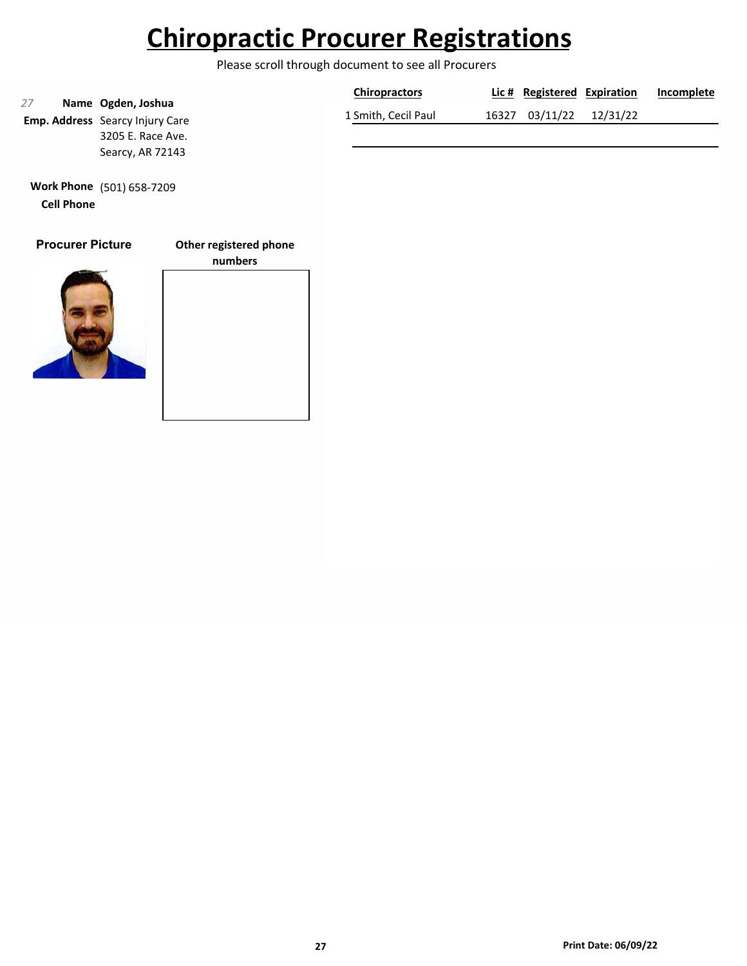Please scroll through document to see all Procurers

|    |                                                              | <b>Chiropractors</b> | Lic # Registered Expiration |          | Incomplete |
|----|--------------------------------------------------------------|----------------------|-----------------------------|----------|------------|
| 27 | Name Ogden, Joshua<br><b>Emp. Address</b> Searcy Injury Care | 1 Smith, Cecil Paul  | 16327 03/11/22              | 12/31/22 |            |
|    | 3205 E. Race Ave.                                            |                      |                             |          |            |
|    | Searcy, AR 72143                                             |                      |                             |          |            |

**Work Phone** (501) 658-7209 **Cell Phone**

### **Procurer Picture**

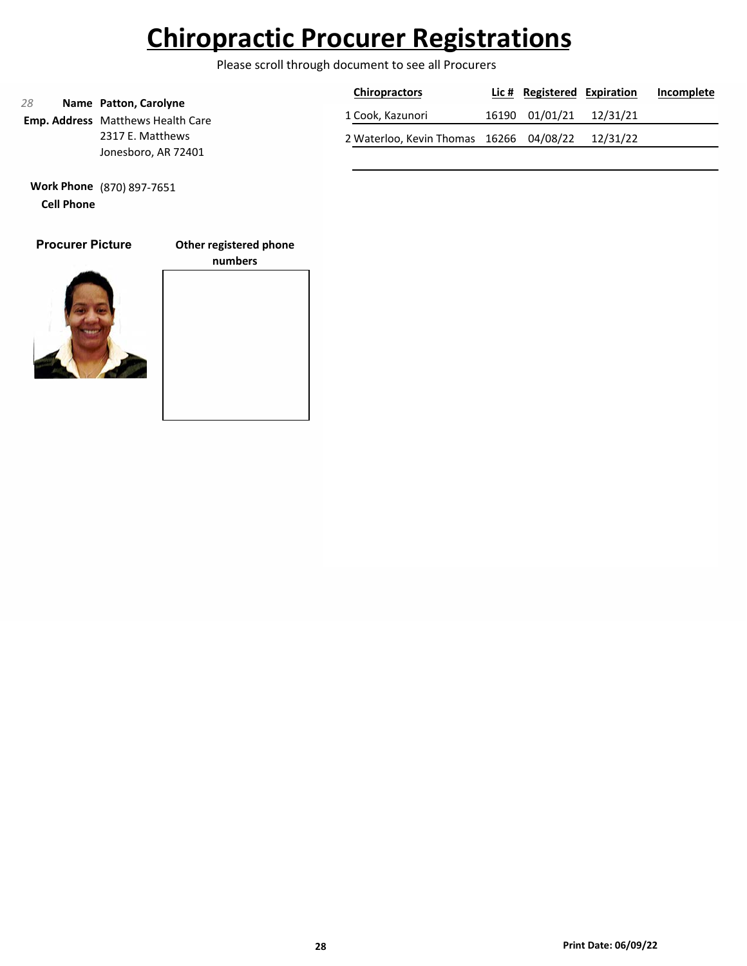Please scroll through document to see all Procurers

|                  |                                                                   | <b>Chiropractors</b> | Lic # Registered Expiration | Incomplete |
|------------------|-------------------------------------------------------------------|----------------------|-----------------------------|------------|
| 28               | Name Patton, Carolyne<br><b>Emp. Address</b> Matthews Health Care | 1 Cook, Kazunori     | 16190 01/01/21 12/31/21     |            |
| 2317 E. Matthews | 2 Waterloo, Kevin Thomas 16266 04/08/22 12/31/22                  |                      |                             |            |
|                  | Jonesboro, AR 72401                                               |                      |                             |            |

**Work Phone** (870) 897-7651 **Cell Phone**

### **Procurer Picture**

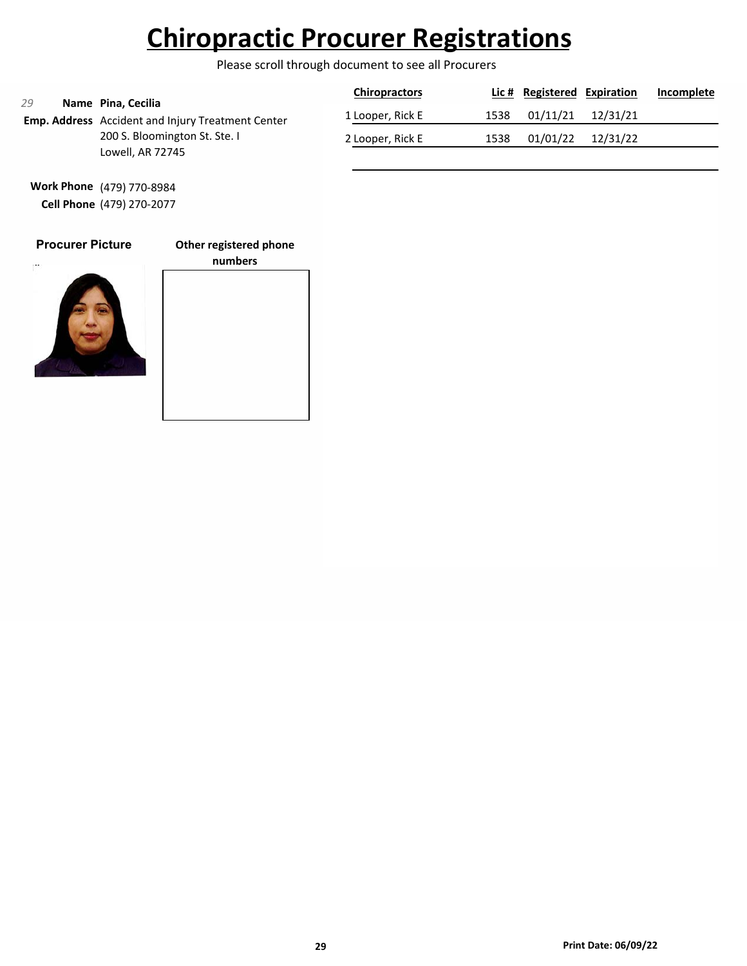Please scroll through document to see all Procurers

| 29                                                                      | <b>Chiropractors</b> |      | Lic # Registered Expiration |          | Incomplete |
|-------------------------------------------------------------------------|----------------------|------|-----------------------------|----------|------------|
| Name Pina, Cecilia<br>Emp. Address Accident and Injury Treatment Center | 1 Looper, Rick E     | 1538 | 01/11/21                    | 12/31/21 |            |
| 200 S. Bloomington St. Ste. I<br>Lowell, AR 72745                       | 2 Looper, Rick E     | 1538 | 01/01/22                    | 12/31/22 |            |

**Work Phone** (479) 770-8984 **Cell Phone** (479) 270-2077

### **Procurer Picture**

**Other registered phone**



# **numbers**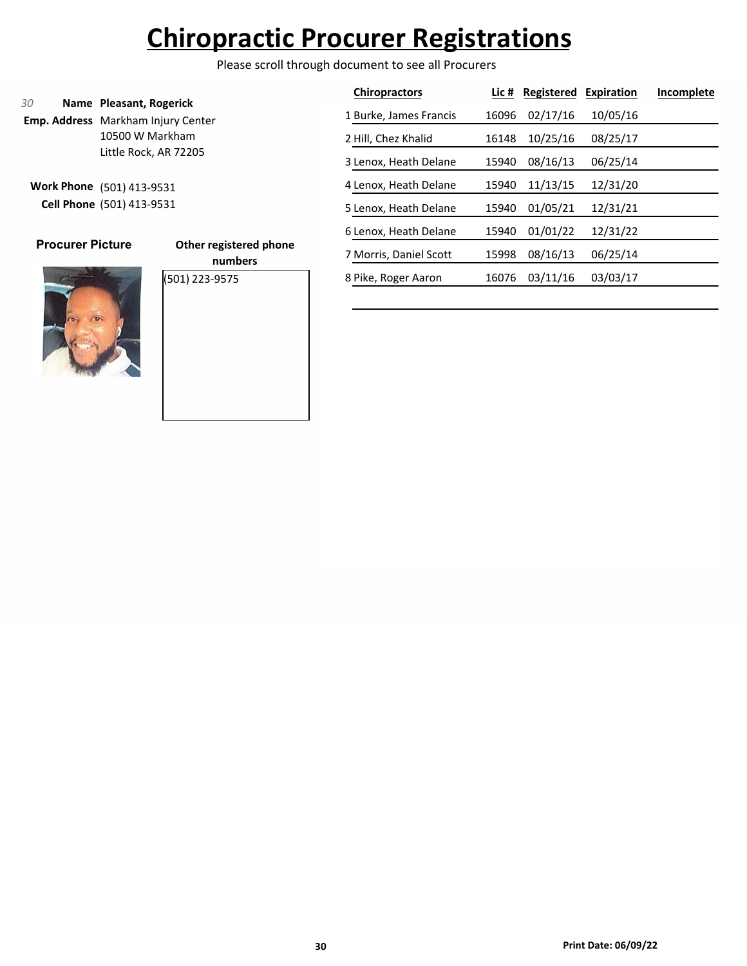Please scroll through document to see all Procurers

|                                                                            |                                   | <b>Chiropractors</b>   | Lic # | <b>Registered</b> | Expiration | Incomplete |
|----------------------------------------------------------------------------|-----------------------------------|------------------------|-------|-------------------|------------|------------|
| 30<br>Name Pleasant, Rogerick<br><b>Emp. Address</b> Markham Injury Center |                                   | 1 Burke, James Francis | 16096 | 02/17/16          | 10/05/16   |            |
| 10500 W Markham                                                            |                                   | 2 Hill, Chez Khalid    | 16148 | 10/25/16          | 08/25/17   |            |
| Little Rock, AR 72205                                                      |                                   | 3 Lenox, Heath Delane  | 15940 | 08/16/13          | 06/25/14   |            |
| Work Phone (501) 413-9531                                                  |                                   | 4 Lenox, Heath Delane  | 15940 | 11/13/15          | 12/31/20   |            |
| Cell Phone (501) 413-9531                                                  |                                   | 5 Lenox, Heath Delane  | 15940 | 01/05/21          | 12/31/21   |            |
|                                                                            |                                   | 6 Lenox, Heath Delane  | 15940 | 01/01/22          | 12/31/22   |            |
| <b>Procurer Picture</b>                                                    | Other registered phone<br>numbers | 7 Morris, Daniel Scott | 15998 | 08/16/13          | 06/25/14   |            |
|                                                                            | (501) 223-9575                    | 8 Pike, Roger Aaron    | 16076 | 03/11/16          | 03/03/17   |            |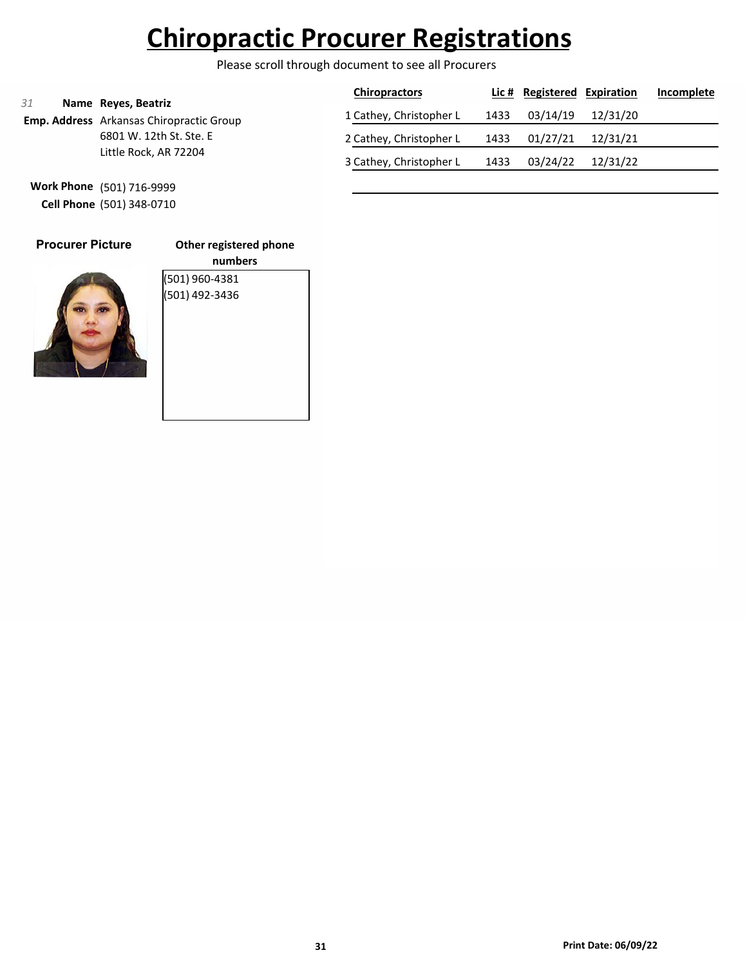Please scroll through document to see all Procurers

|    |                                                                        | <b>Chiropractors</b>    |      | Lic # Registered Expiration |          | Incomplete |
|----|------------------------------------------------------------------------|-------------------------|------|-----------------------------|----------|------------|
| 31 | Name Reyes, Beatriz<br><b>Emp. Address</b> Arkansas Chiropractic Group | 1 Cathey, Christopher L | 1433 | 03/14/19                    | 12/31/20 |            |
|    | 6801 W. 12th St. Ste. E                                                | 2 Cathey, Christopher L | 1433 | 01/27/21                    | 12/31/21 |            |
|    | Little Rock, AR 72204                                                  | 3 Cathey, Christopher L | 1433 | 03/24/22                    | 12/31/22 |            |

**Work Phone** (501) 716-9999 **Cell Phone** (501) 348-0710

| <b>Procurer Picture</b> |  |
|-------------------------|--|
|                         |  |

**Other registered phone numbers** (501) 960-4381 (501) 492-3436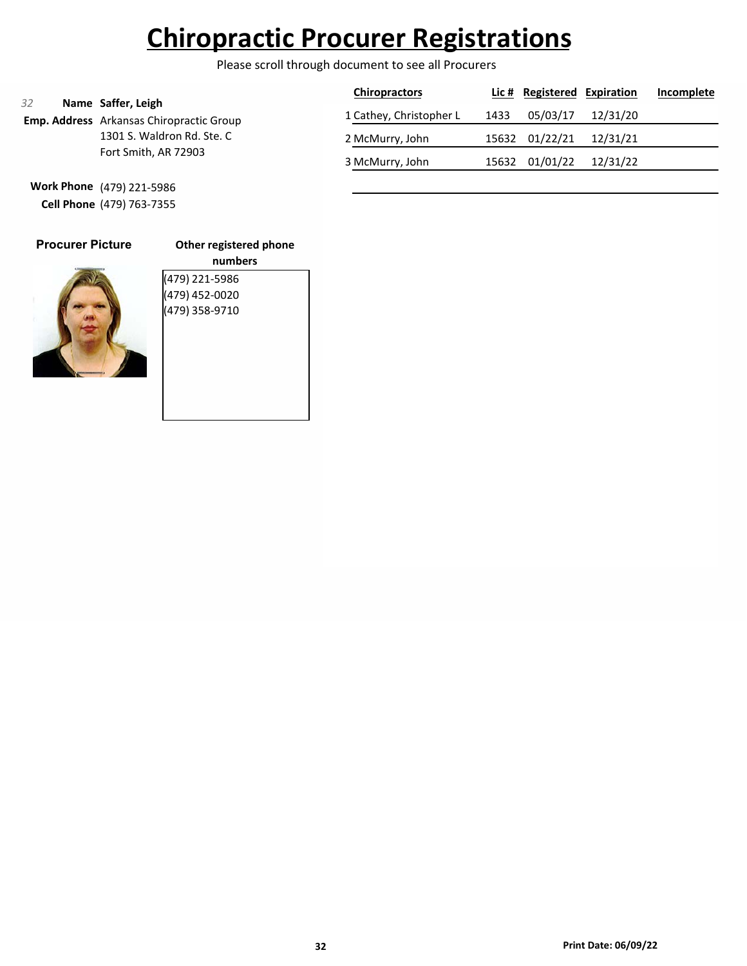Please scroll through document to see all Procurers

|                                                                             | <b>Chiropractors</b>    |      | Lic # Registered Expiration |          | Incomplete |
|-----------------------------------------------------------------------------|-------------------------|------|-----------------------------|----------|------------|
| 32<br>Name Saffer, Leigh<br><b>Emp. Address</b> Arkansas Chiropractic Group | 1 Cathey, Christopher L | 1433 | 05/03/17                    | 12/31/20 |            |
| 1301 S. Waldron Rd. Ste. C                                                  | 2 McMurry, John         |      | 15632 01/22/21              | 12/31/21 |            |
| Fort Smith, AR 72903                                                        | 3 McMurry, John         |      | 15632 01/01/22              | 12/31/22 |            |

**Work Phone** (479) 221-5986 **Cell Phone** (479) 763-7355

|  | <b>Procurer Picture</b> |  |  |
|--|-------------------------|--|--|
|  |                         |  |  |
|  |                         |  |  |
|  |                         |  |  |
|  |                         |  |  |

**Other registered phone numbers** (479) 221-5986 (479) 452-0020 (479) 358-9710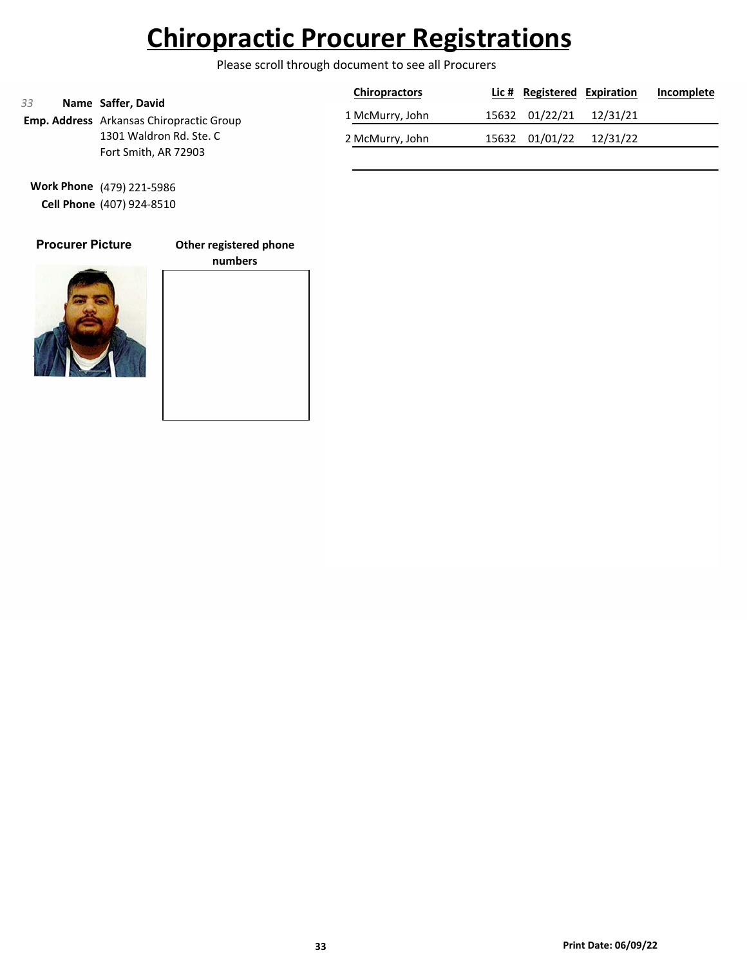Please scroll through document to see all Procurers

| 33                      | Name Saffer, David                              | <b>Chiropractors</b>    | Lic # Registered Expiration |          | Incomplete |
|-------------------------|-------------------------------------------------|-------------------------|-----------------------------|----------|------------|
|                         | <b>Emp. Address</b> Arkansas Chiropractic Group | 1 McMurry, John         | 15632 01/22/21              | 12/31/21 |            |
| 1301 Waldron Rd. Ste. C | 2 McMurry, John                                 | 15632 01/01/22 12/31/22 |                             |          |            |
|                         | Fort Smith, AR 72903                            |                         |                             |          |            |

**Work Phone** (479) 221-5986 **Cell Phone** (407) 924-8510

### **Procurer Picture**

**Other registered phone**



**numbers**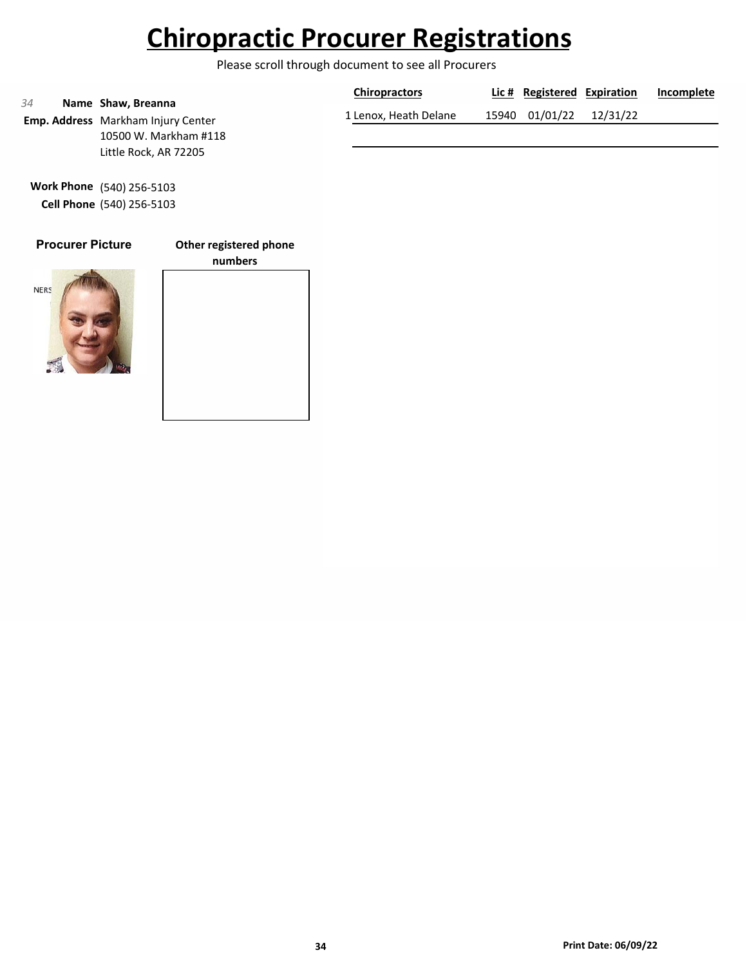Please scroll through document to see all Procurers

|    |                                                                 | <b>Chiropractors</b>  | Lic # Registered Expiration | Incomplete |
|----|-----------------------------------------------------------------|-----------------------|-----------------------------|------------|
| 34 | Name Shaw, Breanna<br><b>Emp. Address</b> Markham Injury Center | 1 Lenox, Heath Delane | 15940 01/01/22 12/31/22     |            |
|    | 10500 W. Markham #118                                           |                       |                             |            |
|    | Little Rock, AR 72205                                           |                       |                             |            |

**Work Phone** (540) 256-5103 **Cell Phone** (540) 256-5103

### **Procurer Picture**

**Other registered phone**



# **numbers**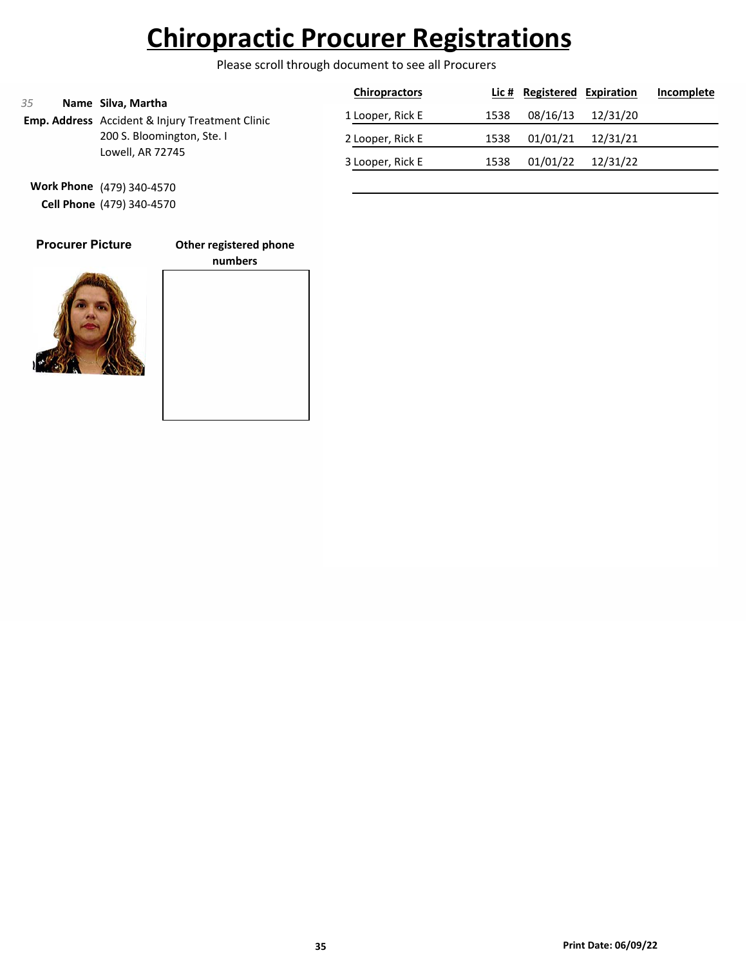Please scroll through document to see all Procurers

|                                                                             | <b>Chiropractors</b> |      | Lic # Registered Expiration |          | Incomplete |
|-----------------------------------------------------------------------------|----------------------|------|-----------------------------|----------|------------|
| 35<br>Name Silva, Martha<br>Emp. Address Accident & Injury Treatment Clinic | 1 Looper, Rick E     | 1538 | 08/16/13                    | 12/31/20 |            |
| 200 S. Bloomington, Ste. I                                                  | 2 Looper, Rick E     | 1538 | 01/01/21                    | 12/31/21 |            |
| Lowell, AR 72745                                                            | 3 Looper, Rick E     | 1538 | 01/01/22                    | 12/31/22 |            |

**Work Phone** (479) 340-4570 **Cell Phone** (479) 340-4570

### **Procurer Picture**

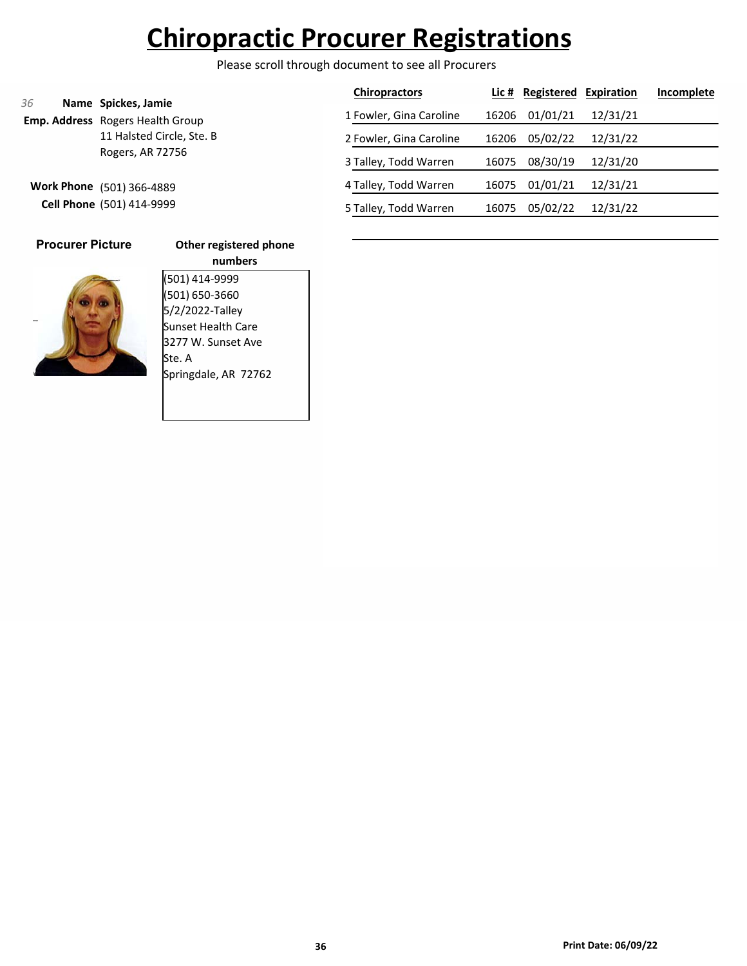Please scroll through document to see all Procurers

|                           |                                                         | <b>Chiropractors</b>    |       | Lic # Registered | Expiration | Incomplete |
|---------------------------|---------------------------------------------------------|-------------------------|-------|------------------|------------|------------|
| 36                        | Name Spickes, Jamie<br>Emp. Address Rogers Health Group | 1 Fowler, Gina Caroline | 16206 | 01/01/21         | 12/31/21   |            |
| 11 Halsted Circle, Ste. B |                                                         | 2 Fowler, Gina Caroline | 16206 | 05/02/22         | 12/31/22   |            |
|                           | Rogers, AR 72756                                        | 3 Talley, Todd Warren   | 16075 | 08/30/19         | 12/31/20   |            |
| <b>Work Phone</b>         | (501) 366-4889<br>Cell Phone (501) 414-9999             | 4 Talley, Todd Warren   | 16075 | 01/01/21         | 12/31/21   |            |
|                           |                                                         | 5 Talley, Todd Warren   | 16075 | 05/02/22         | 12/31/22   |            |

**Procurer Picture**

### **Other registered phone**

**numbers** (501) 414-9999 (501) 650-3660

5/2/2022-Talley Sunset Health Care 3277 W. Sunset Ave Ste. A Springdale, AR 72762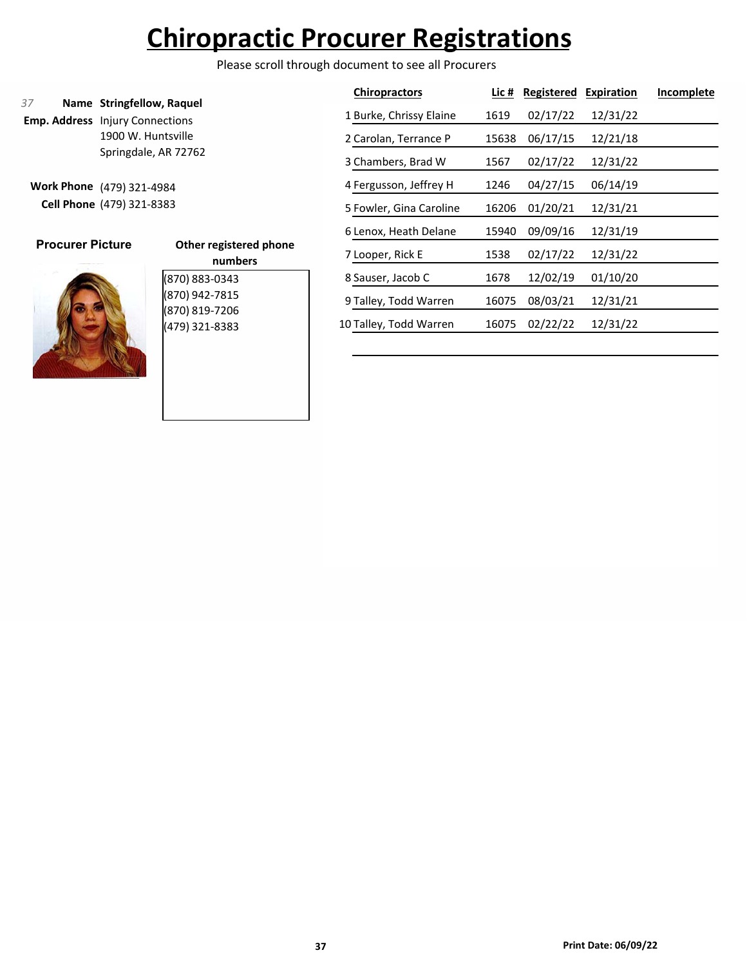Please scroll through document to see all Procurers

### **Name Stringfellow, Raquel** *37*

**Emp. Address** Injury Connections 1900 W. Huntsville Springdale, AR 72762

**Work Phone** (479) 321-4984 **Cell Phone** (479) 321-8383



| Other registered phone |
|------------------------|
| numbers                |
| (870) 883-0343         |
| (870) 942-7815         |
| (870) 819-7206         |
| (479) 321-8383         |
|                        |

| <b>Chiropractors</b>    | Lic # | Registered | <b>Expiration</b> | Incomplete |
|-------------------------|-------|------------|-------------------|------------|
| 1 Burke, Chrissy Elaine | 1619  | 02/17/22   | 12/31/22          |            |
| 2 Carolan, Terrance P   | 15638 | 06/17/15   | 12/21/18          |            |
| 3 Chambers, Brad W      | 1567  | 02/17/22   | 12/31/22          |            |
| 4 Fergusson, Jeffrey H  | 1246  | 04/27/15   | 06/14/19          |            |
| 5 Fowler, Gina Caroline | 16206 | 01/20/21   | 12/31/21          |            |
| 6 Lenox, Heath Delane   | 15940 | 09/09/16   | 12/31/19          |            |
| 7 Looper, Rick E        | 1538  | 02/17/22   | 12/31/22          |            |
| 8 Sauser, Jacob C       | 1678  | 12/02/19   | 01/10/20          |            |
| 9 Talley, Todd Warren   | 16075 | 08/03/21   | 12/31/21          |            |
| 10 Talley, Todd Warren  | 16075 | 02/22/22   | 12/31/22          |            |
|                         |       |            |                   |            |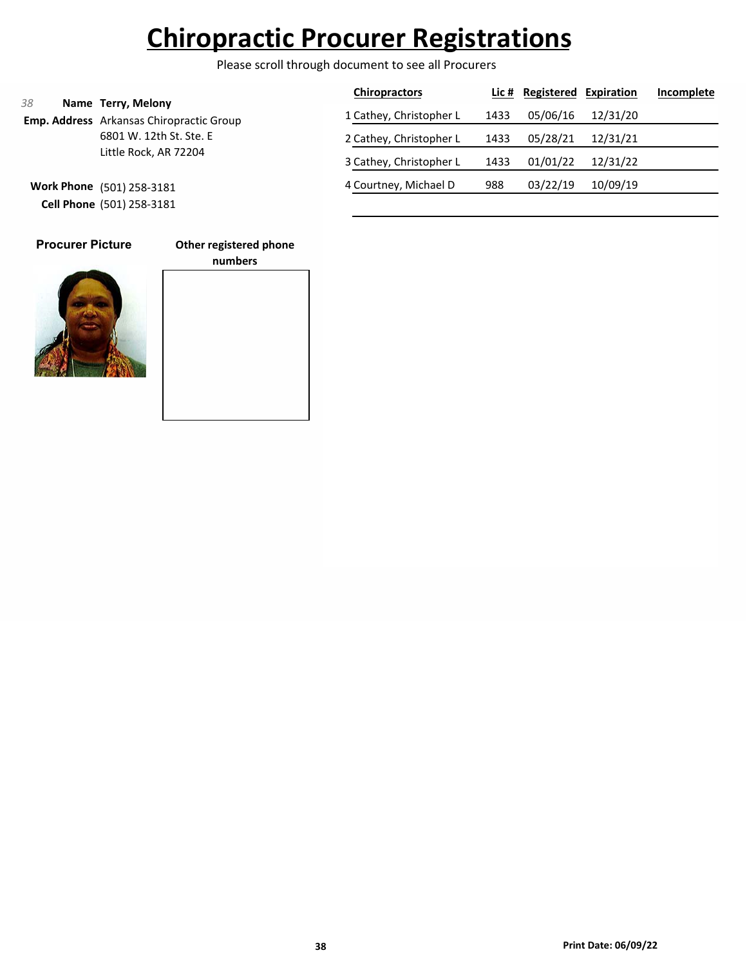Please scroll through document to see all Procurers

|    |                                                                       | <b>Chiropractors</b>    |      | Lic # Registered | Expiration | Incomplete |
|----|-----------------------------------------------------------------------|-------------------------|------|------------------|------------|------------|
| 38 | Name Terry, Melony<br><b>Emp. Address</b> Arkansas Chiropractic Group | 1 Cathey, Christopher L | 1433 | 05/06/16         | 12/31/20   |            |
|    | 6801 W. 12th St. Ste. E                                               | 2 Cathey, Christopher L | 1433 | 05/28/21         | 12/31/21   |            |
|    | Little Rock, AR 72204                                                 | 3 Cathey, Christopher L | 1433 | 01/01/22         | 12/31/22   |            |
|    | Work Phone (501) 258-3181                                             | 4 Courtney, Michael D   | 988  | 03/22/19         | 10/09/19   |            |
|    | Cell Phone (501) 258-3181                                             |                         |      |                  |            |            |

**Procurer Picture**

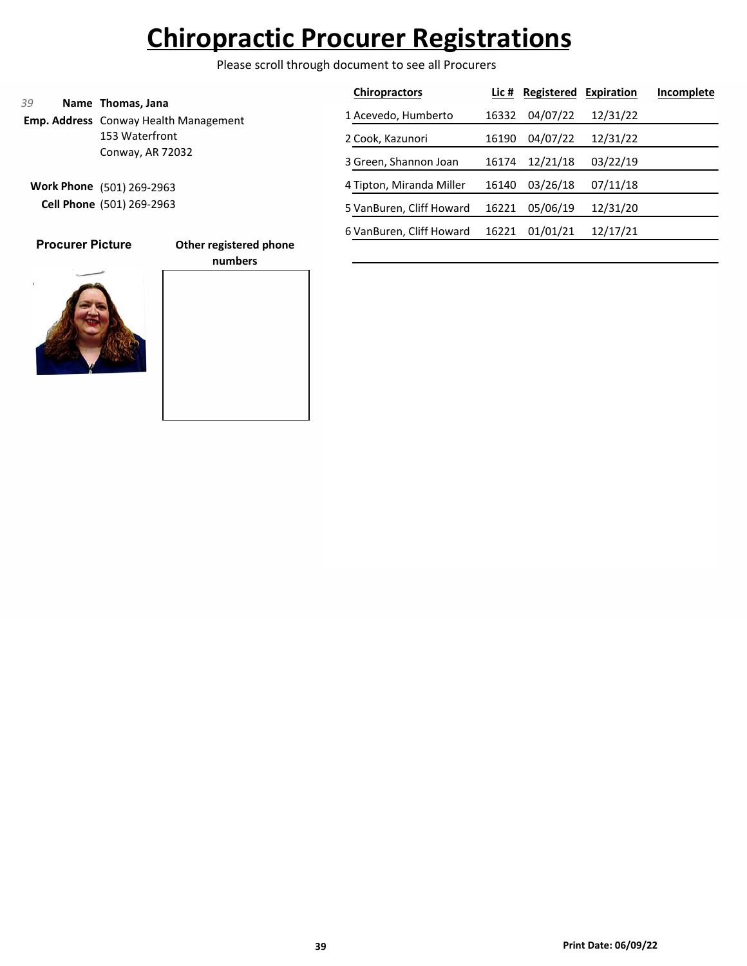Please scroll through document to see all Procurers

|                                                                  | <b>Chiropractors</b>     | Lic # | Registered | Expiration | Incomplete |
|------------------------------------------------------------------|--------------------------|-------|------------|------------|------------|
| 39<br>Name Thomas, Jana<br>Emp. Address Conway Health Management | 1 Acevedo, Humberto      | 16332 | 04/07/22   | 12/31/22   |            |
| 153 Waterfront                                                   | 2 Cook, Kazunori         | 16190 | 04/07/22   | 12/31/22   |            |
| Conway, AR 72032                                                 | 3 Green, Shannon Joan    | 16174 | 12/21/18   | 03/22/19   |            |
| <b>Work Phone</b><br>(501) 269-2963                              | 4 Tipton, Miranda Miller | 16140 | 03/26/18   | 07/11/18   |            |
| <b>Cell Phone</b> (501) 269-2963                                 | 5 VanBuren, Cliff Howard | 16221 | 05/06/19   | 12/31/20   |            |
|                                                                  | 6 VanBuren, Cliff Howard | 16221 | 01/01/21   | 12/17/21   |            |
| <b>Procurer Picture</b><br>Other registered phone<br>numbers     |                          |       |            |            |            |

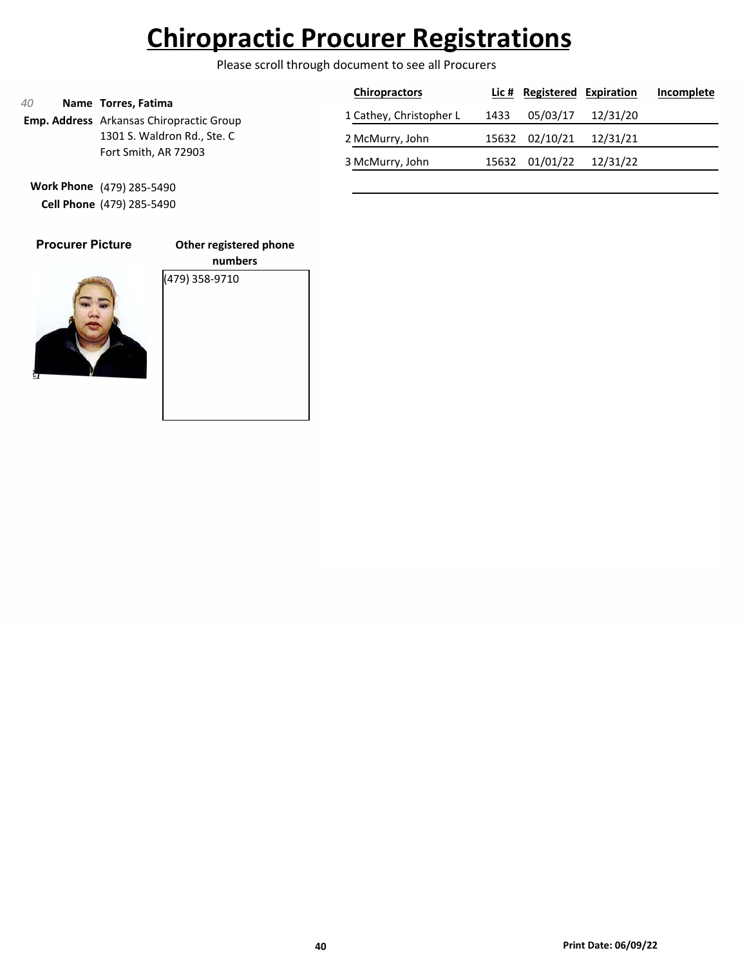Please scroll through document to see all Procurers

|                           |                                          | <b>Chiropractors</b>    |       | Lic # Registered Expiration |          | Incomplete |
|---------------------------|------------------------------------------|-------------------------|-------|-----------------------------|----------|------------|
| 40<br>Name Torres, Fatima | Emp. Address Arkansas Chiropractic Group | 1 Cathey, Christopher L | 1433  | 05/03/17                    | 12/31/20 |            |
|                           | 1301 S. Waldron Rd., Ste. C              | 2 McMurry, John         |       | 15632 02/10/21              | 12/31/21 |            |
|                           | Fort Smith, AR 72903                     | 3 McMurry, John         | 15632 | 01/01/22                    | 12/31/22 |            |

**Work Phone** (479) 285-5490 **Cell Phone** (479) 285-5490

| <b>Procurer Picture</b> | וכ           |
|-------------------------|--------------|
|                         | $\sqrt{479}$ |
|                         |              |

**Other registered phone numbers** (479) 358-9710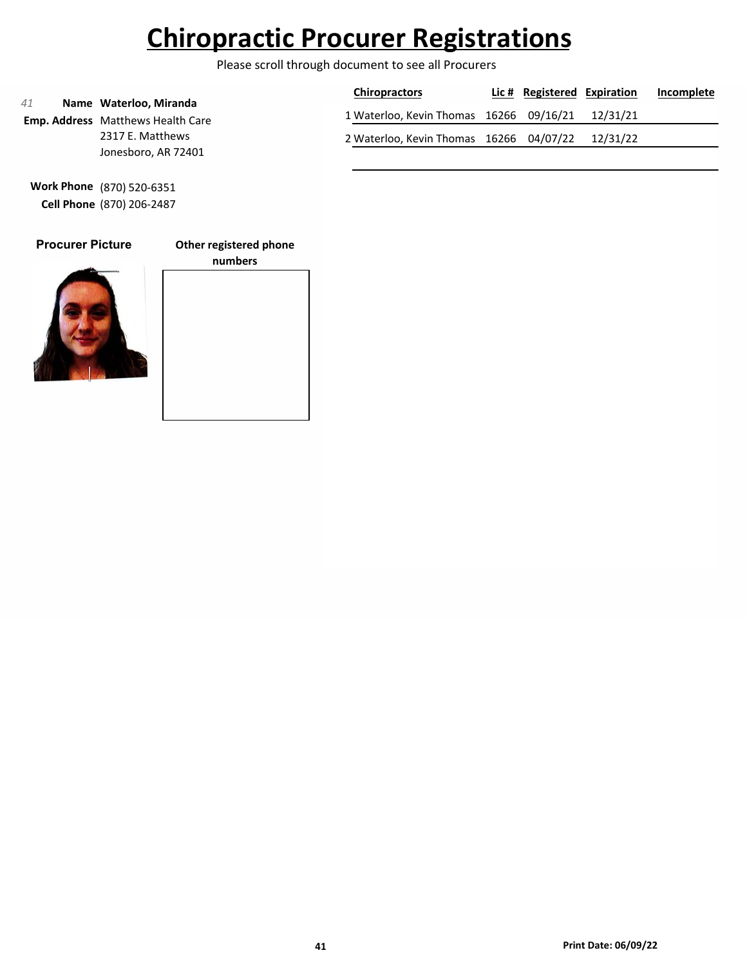Please scroll through document to see all Procurers

|    |                                                             | <b>Chiropractors</b>                             | Lic # Registered Expiration | Incomplete |
|----|-------------------------------------------------------------|--------------------------------------------------|-----------------------------|------------|
| 41 | Name Waterloo, Miranda<br>Emp. Address Matthews Health Care | 1 Waterloo, Kevin Thomas 16266 09/16/21 12/31/21 |                             |            |
|    | 2317 E. Matthews                                            | 2 Waterloo, Kevin Thomas 16266 04/07/22 12/31/22 |                             |            |
|    | Jonesboro, AR 72401                                         |                                                  |                             |            |

**Work Phone** (870) 520-6351 **Cell Phone** (870) 206-2487

### **Procurer Picture**

**Other registered phone**



# **numbers**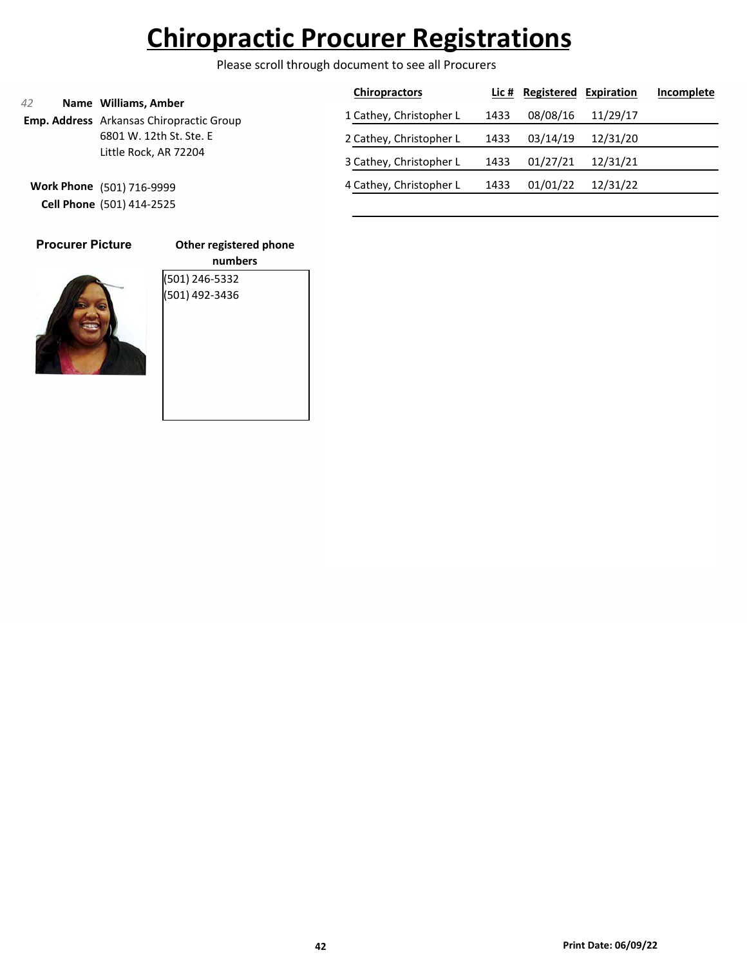Please scroll through document to see all Procurers

|    |                                                                         | <b>Chiropractors</b>    |      | Lic # Registered Expiration |          | Incomplete |
|----|-------------------------------------------------------------------------|-------------------------|------|-----------------------------|----------|------------|
| 42 | Name Williams, Amber<br><b>Emp. Address</b> Arkansas Chiropractic Group | 1 Cathey, Christopher L | 1433 | 08/08/16                    | 11/29/17 |            |
|    | 6801 W. 12th St. Ste. E                                                 | 2 Cathey, Christopher L | 1433 | 03/14/19                    | 12/31/20 |            |
|    | Little Rock, AR 72204                                                   | 3 Cathey, Christopher L | 1433 | 01/27/21                    | 12/31/21 |            |
|    | Work Phone (501) 716-9999                                               | 4 Cathey, Christopher L | 1433 | 01/01/22                    | 12/31/22 |            |
|    | Cell Phone (501) 414-2525                                               |                         |      |                             |          |            |

| <b>Procurer Picture</b> |  |
|-------------------------|--|
|                         |  |

**Other registered phone numbers** (501) 246-5332 (501) 492-3436